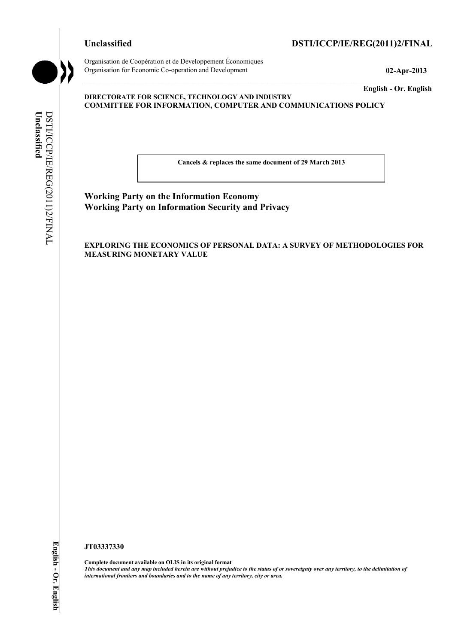

**Unclassified** 

Unclassified

DSTI/ICCP/IE/REG(2011)2/FINAL

DSTI/ICCP/IE/REG(2011)2/FINAL

Organisation de Coopération et de Développement Économiques Organisation for Economic Co-operation and Development **02-Apr-2013** 

**English - Or. English** 

#### **DIRECTORATE FOR SCIENCE, TECHNOLOGY AND INDUSTRY COMMITTEE FOR INFORMATION, COMPUTER AND COMMUNICATIONS POLICY**

**Cancels & replaces the same document of 29 March 2013** 

**Working Party on the Information Economy Working Party on Information Security and Privacy** 

**EXPLORING THE ECONOMICS OF PERSONAL DATA: A SURVEY OF METHODOLOGIES FOR MEASURING MONETARY VALUE** 

#### **JT03337330**

**Complete document available on OLIS in its original format** *This document and any map included herein are without prejudice to the status of or sovereignty over any territory, to the delimitation of international frontiers and boundaries and to the name of any territory, city or area.*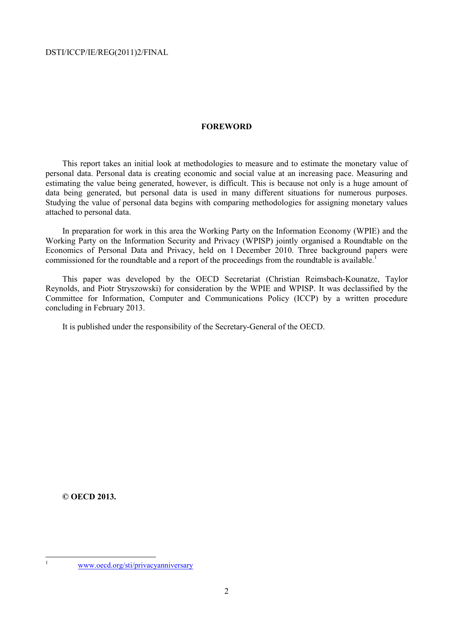# **FOREWORD**

This report takes an initial look at methodologies to measure and to estimate the monetary value of personal data. Personal data is creating economic and social value at an increasing pace. Measuring and estimating the value being generated, however, is difficult. This is because not only is a huge amount of data being generated, but personal data is used in many different situations for numerous purposes. Studying the value of personal data begins with comparing methodologies for assigning monetary values attached to personal data.

In preparation for work in this area the Working Party on the Information Economy (WPIE) and the Working Party on the Information Security and Privacy (WPISP) jointly organised a Roundtable on the Economics of Personal Data and Privacy, held on 1 December 2010. Three background papers were commissioned for the roundtable and a report of the proceedings from the roundtable is available.<sup>1</sup>

This paper was developed by the OECD Secretariat (Christian Reimsbach-Kounatze, Taylor Reynolds, and Piotr Stryszowski) for consideration by the WPIE and WPISP. It was declassified by the Committee for Information, Computer and Communications Policy (ICCP) by a written procedure concluding in February 2013.

It is published under the responsibility of the Secretary-General of the OECD.

**© OECD 2013.** 

 1

www.oecd.org/sti/privacyanniversary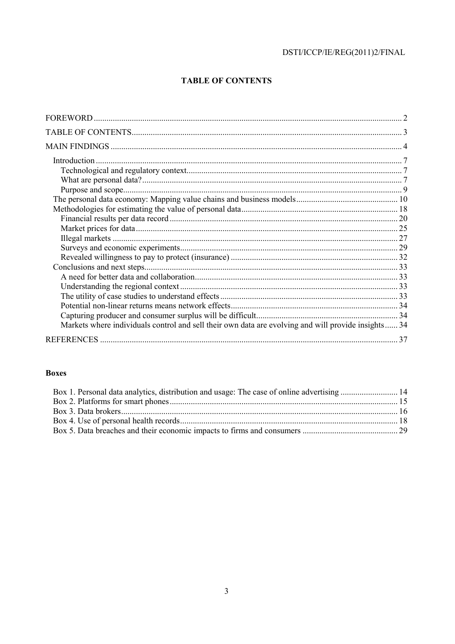# **TABLE OF CONTENTS**

| Introduction.                                                                                       |  |
|-----------------------------------------------------------------------------------------------------|--|
|                                                                                                     |  |
|                                                                                                     |  |
|                                                                                                     |  |
|                                                                                                     |  |
|                                                                                                     |  |
|                                                                                                     |  |
|                                                                                                     |  |
|                                                                                                     |  |
|                                                                                                     |  |
|                                                                                                     |  |
|                                                                                                     |  |
|                                                                                                     |  |
|                                                                                                     |  |
|                                                                                                     |  |
|                                                                                                     |  |
|                                                                                                     |  |
| Markets where individuals control and sell their own data are evolving and will provide insights 34 |  |
|                                                                                                     |  |
|                                                                                                     |  |

# **Boxes**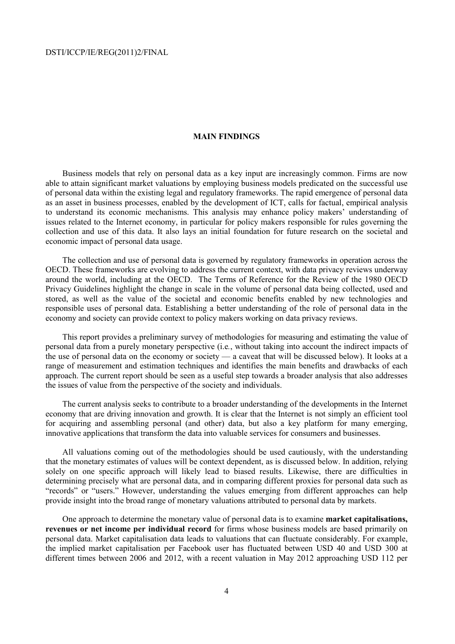# **MAIN FINDINGS**

Business models that rely on personal data as a key input are increasingly common. Firms are now able to attain significant market valuations by employing business models predicated on the successful use of personal data within the existing legal and regulatory frameworks. The rapid emergence of personal data as an asset in business processes, enabled by the development of ICT, calls for factual, empirical analysis to understand its economic mechanisms. This analysis may enhance policy makers' understanding of issues related to the Internet economy, in particular for policy makers responsible for rules governing the collection and use of this data. It also lays an initial foundation for future research on the societal and economic impact of personal data usage.

The collection and use of personal data is governed by regulatory frameworks in operation across the OECD. These frameworks are evolving to address the current context, with data privacy reviews underway around the world, including at the OECD. The Terms of Reference for the Review of the 1980 OECD Privacy Guidelines highlight the change in scale in the volume of personal data being collected, used and stored, as well as the value of the societal and economic benefits enabled by new technologies and responsible uses of personal data. Establishing a better understanding of the role of personal data in the economy and society can provide context to policy makers working on data privacy reviews.

This report provides a preliminary survey of methodologies for measuring and estimating the value of personal data from a purely monetary perspective (i.e*.*, without taking into account the indirect impacts of the use of personal data on the economy or society — a caveat that will be discussed below). It looks at a range of measurement and estimation techniques and identifies the main benefits and drawbacks of each approach. The current report should be seen as a useful step towards a broader analysis that also addresses the issues of value from the perspective of the society and individuals.

The current analysis seeks to contribute to a broader understanding of the developments in the Internet economy that are driving innovation and growth. It is clear that the Internet is not simply an efficient tool for acquiring and assembling personal (and other) data, but also a key platform for many emerging, innovative applications that transform the data into valuable services for consumers and businesses.

All valuations coming out of the methodologies should be used cautiously, with the understanding that the monetary estimates of values will be context dependent, as is discussed below. In addition, relying solely on one specific approach will likely lead to biased results. Likewise, there are difficulties in determining precisely what are personal data, and in comparing different proxies for personal data such as "records" or "users." However, understanding the values emerging from different approaches can help provide insight into the broad range of monetary valuations attributed to personal data by markets.

One approach to determine the monetary value of personal data is to examine **market capitalisations, revenues or net income per individual record** for firms whose business models are based primarily on personal data. Market capitalisation data leads to valuations that can fluctuate considerably. For example, the implied market capitalisation per Facebook user has fluctuated between USD 40 and USD 300 at different times between 2006 and 2012, with a recent valuation in May 2012 approaching USD 112 per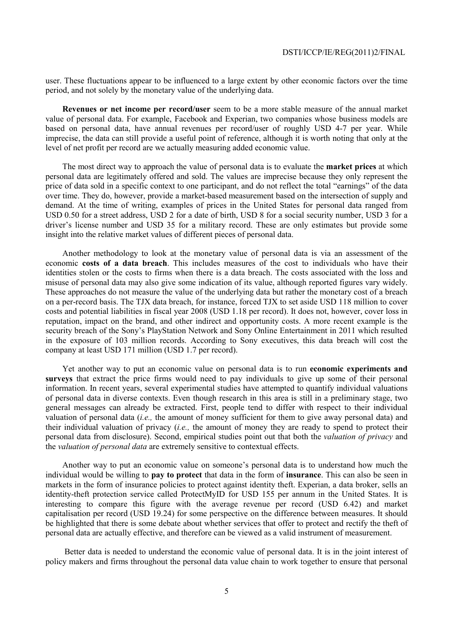user. These fluctuations appear to be influenced to a large extent by other economic factors over the time period, and not solely by the monetary value of the underlying data.

**Revenues or net income per record/user** seem to be a more stable measure of the annual market value of personal data. For example, Facebook and Experian, two companies whose business models are based on personal data, have annual revenues per record/user of roughly USD 4-7 per year. While imprecise, the data can still provide a useful point of reference, although it is worth noting that only at the level of net profit per record are we actually measuring added economic value.

The most direct way to approach the value of personal data is to evaluate the **market prices** at which personal data are legitimately offered and sold. The values are imprecise because they only represent the price of data sold in a specific context to one participant, and do not reflect the total "earnings" of the data over time. They do, however, provide a market-based measurement based on the intersection of supply and demand. At the time of writing, examples of prices in the United States for personal data ranged from USD 0.50 for a street address, USD 2 for a date of birth, USD 8 for a social security number, USD 3 for a driver's license number and USD 35 for a military record. These are only estimates but provide some insight into the relative market values of different pieces of personal data.

Another methodology to look at the monetary value of personal data is via an assessment of the economic **costs of a data breach**. This includes measures of the cost to individuals who have their identities stolen or the costs to firms when there is a data breach. The costs associated with the loss and misuse of personal data may also give some indication of its value, although reported figures vary widely. These approaches do not measure the value of the underlying data but rather the monetary cost of a breach on a per-record basis. The TJX data breach, for instance, forced TJX to set aside USD 118 million to cover costs and potential liabilities in fiscal year 2008 (USD 1.18 per record). It does not, however, cover loss in reputation, impact on the brand, and other indirect and opportunity costs. A more recent example is the security breach of the Sony's PlayStation Network and Sony Online Entertainment in 2011 which resulted in the exposure of 103 million records. According to Sony executives, this data breach will cost the company at least USD 171 million (USD 1.7 per record).

Yet another way to put an economic value on personal data is to run **economic experiments and surveys** that extract the price firms would need to pay individuals to give up some of their personal information. In recent years, several experimental studies have attempted to quantify individual valuations of personal data in diverse contexts. Even though research in this area is still in a preliminary stage, two general messages can already be extracted. First, people tend to differ with respect to their individual valuation of personal data (*i.e.,* the amount of money sufficient for them to give away personal data) and their individual valuation of privacy (*i.e.,* the amount of money they are ready to spend to protect their personal data from disclosure). Second, empirical studies point out that both the *valuation of privacy* and the *valuation of personal data* are extremely sensitive to contextual effects.

Another way to put an economic value on someone's personal data is to understand how much the individual would be willing to **pay to protect** that data in the form of **insurance**. This can also be seen in markets in the form of insurance policies to protect against identity theft. Experian, a data broker, sells an identity-theft protection service called ProtectMyID for USD 155 per annum in the United States. It is interesting to compare this figure with the average revenue per record (USD 6.42) and market capitalisation per record (USD 19.24) for some perspective on the difference between measures. It should be highlighted that there is some debate about whether services that offer to protect and rectify the theft of personal data are actually effective, and therefore can be viewed as a valid instrument of measurement.

 Better data is needed to understand the economic value of personal data. It is in the joint interest of policy makers and firms throughout the personal data value chain to work together to ensure that personal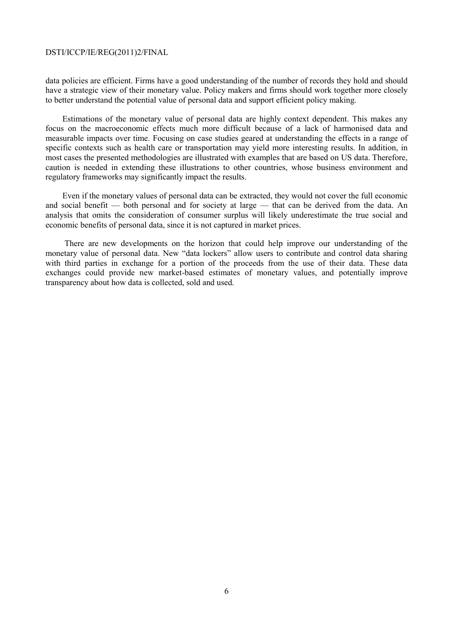data policies are efficient. Firms have a good understanding of the number of records they hold and should have a strategic view of their monetary value. Policy makers and firms should work together more closely to better understand the potential value of personal data and support efficient policy making.

Estimations of the monetary value of personal data are highly context dependent. This makes any focus on the macroeconomic effects much more difficult because of a lack of harmonised data and measurable impacts over time. Focusing on case studies geared at understanding the effects in a range of specific contexts such as health care or transportation may yield more interesting results. In addition, in most cases the presented methodologies are illustrated with examples that are based on US data. Therefore, caution is needed in extending these illustrations to other countries, whose business environment and regulatory frameworks may significantly impact the results.

Even if the monetary values of personal data can be extracted, they would not cover the full economic and social benefit — both personal and for society at large — that can be derived from the data. An analysis that omits the consideration of consumer surplus will likely underestimate the true social and economic benefits of personal data, since it is not captured in market prices.

 There are new developments on the horizon that could help improve our understanding of the monetary value of personal data. New "data lockers" allow users to contribute and control data sharing with third parties in exchange for a portion of the proceeds from the use of their data. These data exchanges could provide new market-based estimates of monetary values, and potentially improve transparency about how data is collected, sold and used.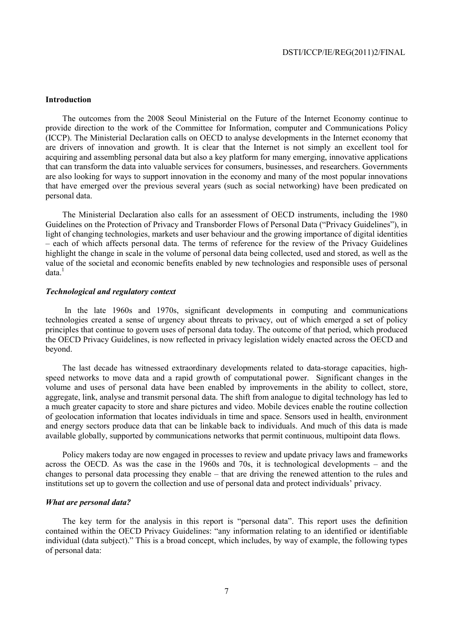# **Introduction**

The outcomes from the 2008 Seoul Ministerial on the Future of the Internet Economy continue to provide direction to the work of the Committee for Information, computer and Communications Policy (ICCP). The Ministerial Declaration calls on OECD to analyse developments in the Internet economy that are drivers of innovation and growth. It is clear that the Internet is not simply an excellent tool for acquiring and assembling personal data but also a key platform for many emerging, innovative applications that can transform the data into valuable services for consumers, businesses, and researchers. Governments are also looking for ways to support innovation in the economy and many of the most popular innovations that have emerged over the previous several years (such as social networking) have been predicated on personal data.

The Ministerial Declaration also calls for an assessment of OECD instruments, including the 1980 Guidelines on the Protection of Privacy and Transborder Flows of Personal Data ("Privacy Guidelines"), in light of changing technologies, markets and user behaviour and the growing importance of digital identities – each of which affects personal data. The terms of reference for the review of the Privacy Guidelines highlight the change in scale in the volume of personal data being collected, used and stored, as well as the value of the societal and economic benefits enabled by new technologies and responsible uses of personal  $data.<sup>1</sup>$ 

# *Technological and regulatory context*

 In the late 1960s and 1970s, significant developments in computing and communications technologies created a sense of urgency about threats to privacy, out of which emerged a set of policy principles that continue to govern uses of personal data today. The outcome of that period, which produced the OECD Privacy Guidelines, is now reflected in privacy legislation widely enacted across the OECD and beyond.

The last decade has witnessed extraordinary developments related to data-storage capacities, highspeed networks to move data and a rapid growth of computational power. Significant changes in the volume and uses of personal data have been enabled by improvements in the ability to collect, store, aggregate, link, analyse and transmit personal data. The shift from analogue to digital technology has led to a much greater capacity to store and share pictures and video. Mobile devices enable the routine collection of geolocation information that locates individuals in time and space. Sensors used in health, environment and energy sectors produce data that can be linkable back to individuals. And much of this data is made available globally, supported by communications networks that permit continuous, multipoint data flows.

Policy makers today are now engaged in processes to review and update privacy laws and frameworks across the OECD. As was the case in the 1960s and 70s, it is technological developments – and the changes to personal data processing they enable – that are driving the renewed attention to the rules and institutions set up to govern the collection and use of personal data and protect individuals' privacy.

#### *What are personal data?*

The key term for the analysis in this report is "personal data". This report uses the definition contained within the OECD Privacy Guidelines: "any information relating to an identified or identifiable individual (data subject)." This is a broad concept, which includes, by way of example, the following types of personal data: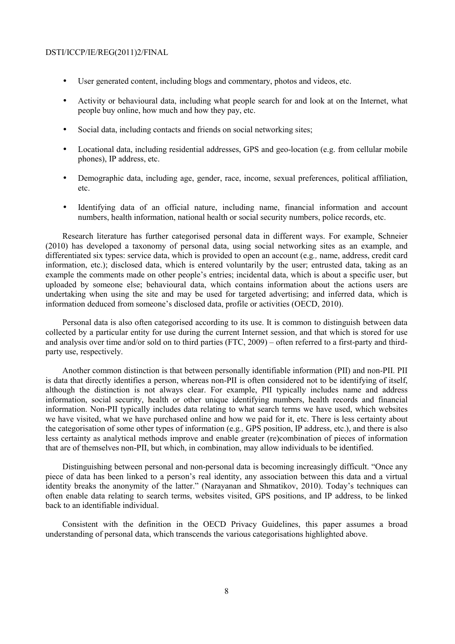- User generated content, including blogs and commentary, photos and videos, etc.
- Activity or behavioural data, including what people search for and look at on the Internet, what people buy online, how much and how they pay, etc.
- Social data, including contacts and friends on social networking sites;
- Locational data, including residential addresses, GPS and geo-location (e.g. from cellular mobile phones), IP address, etc.
- Demographic data, including age, gender, race, income, sexual preferences, political affiliation, etc.
- Identifying data of an official nature, including name, financial information and account numbers, health information, national health or social security numbers, police records, etc.

Research literature has further categorised personal data in different ways. For example, Schneier (2010) has developed a taxonomy of personal data, using social networking sites as an example, and differentiated six types: service data, which is provided to open an account (e.g*.,* name, address, credit card information, etc.); disclosed data, which is entered voluntarily by the user; entrusted data, taking as an example the comments made on other people's entries; incidental data, which is about a specific user, but uploaded by someone else; behavioural data, which contains information about the actions users are undertaking when using the site and may be used for targeted advertising; and inferred data, which is information deduced from someone's disclosed data, profile or activities (OECD, 2010).

Personal data is also often categorised according to its use. It is common to distinguish between data collected by a particular entity for use during the current Internet session, and that which is stored for use and analysis over time and/or sold on to third parties (FTC, 2009) – often referred to a first-party and thirdparty use, respectively.

Another common distinction is that between personally identifiable information (PII) and non-PII. PII is data that directly identifies a person, whereas non-PII is often considered not to be identifying of itself, although the distinction is not always clear. For example, PII typically includes name and address information, social security, health or other unique identifying numbers, health records and financial information. Non-PII typically includes data relating to what search terms we have used, which websites we have visited, what we have purchased online and how we paid for it, etc. There is less certainty about the categorisation of some other types of information (e.g*.,* GPS position, IP address, etc.), and there is also less certainty as analytical methods improve and enable greater (re)combination of pieces of information that are of themselves non-PII, but which, in combination, may allow individuals to be identified.

Distinguishing between personal and non-personal data is becoming increasingly difficult. "Once any piece of data has been linked to a person's real identity, any association between this data and a virtual identity breaks the anonymity of the latter." (Narayanan and Shmatikov, 2010). Today's techniques can often enable data relating to search terms, websites visited, GPS positions, and IP address, to be linked back to an identifiable individual.

Consistent with the definition in the OECD Privacy Guidelines, this paper assumes a broad understanding of personal data, which transcends the various categorisations highlighted above.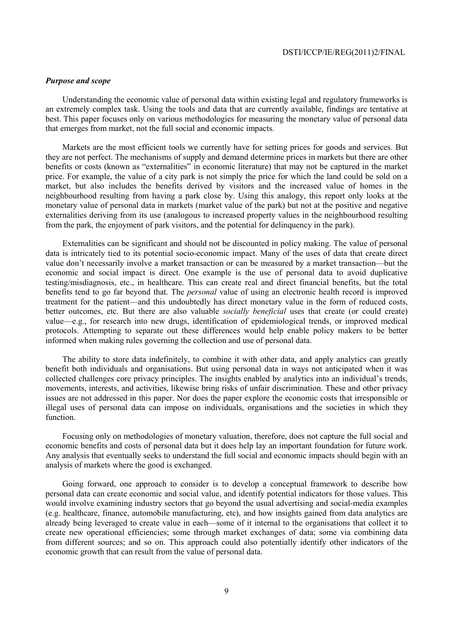# *Purpose and scope*

Understanding the economic value of personal data within existing legal and regulatory frameworks is an extremely complex task. Using the tools and data that are currently available, findings are tentative at best. This paper focuses only on various methodologies for measuring the monetary value of personal data that emerges from market, not the full social and economic impacts.

Markets are the most efficient tools we currently have for setting prices for goods and services. But they are not perfect. The mechanisms of supply and demand determine prices in markets but there are other benefits or costs (known as "externalities" in economic literature) that may not be captured in the market price. For example, the value of a city park is not simply the price for which the land could be sold on a market, but also includes the benefits derived by visitors and the increased value of homes in the neighbourhood resulting from having a park close by. Using this analogy, this report only looks at the monetary value of personal data in markets (market value of the park) but not at the positive and negative externalities deriving from its use (analogous to increased property values in the neighbourhood resulting from the park, the enjoyment of park visitors, and the potential for delinquency in the park).

Externalities can be significant and should not be discounted in policy making. The value of personal data is intricately tied to its potential socio-economic impact. Many of the uses of data that create direct value don't necessarily involve a market transaction or can be measured by a market transaction—but the economic and social impact is direct. One example is the use of personal data to avoid duplicative testing/misdiagnosis, etc., in healthcare. This can create real and direct financial benefits, but the total benefits tend to go far beyond that. The *personal* value of using an electronic health record is improved treatment for the patient—and this undoubtedly has direct monetary value in the form of reduced costs, better outcomes, etc. But there are also valuable *socially beneficial* uses that create (or could create) value—e.g., for research into new drugs, identification of epidemiological trends, or improved medical protocols. Attempting to separate out these differences would help enable policy makers to be better informed when making rules governing the collection and use of personal data.

The ability to store data indefinitely, to combine it with other data, and apply analytics can greatly benefit both individuals and organisations. But using personal data in ways not anticipated when it was collected challenges core privacy principles. The insights enabled by analytics into an individual's trends, movements, interests, and activities, likewise bring risks of unfair discrimination. These and other privacy issues are not addressed in this paper. Nor does the paper explore the economic costs that irresponsible or illegal uses of personal data can impose on individuals, organisations and the societies in which they function.

Focusing only on methodologies of monetary valuation, therefore, does not capture the full social and economic benefits and costs of personal data but it does help lay an important foundation for future work. Any analysis that eventually seeks to understand the full social and economic impacts should begin with an analysis of markets where the good is exchanged.

Going forward, one approach to consider is to develop a conceptual framework to describe how personal data can create economic and social value, and identify potential indicators for those values. This would involve examining industry sectors that go beyond the usual advertising and social-media examples (e.g. healthcare, finance, automobile manufacturing, etc), and how insights gained from data analytics are already being leveraged to create value in each—some of it internal to the organisations that collect it to create new operational efficiencies; some through market exchanges of data; some via combining data from different sources; and so on. This approach could also potentially identify other indicators of the economic growth that can result from the value of personal data.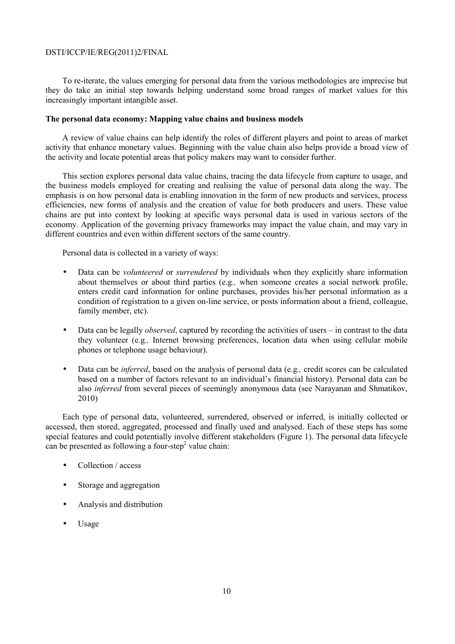To re-iterate, the values emerging for personal data from the various methodologies are imprecise but they do take an initial step towards helping understand some broad ranges of market values for this increasingly important intangible asset.

# **The personal data economy: Mapping value chains and business models**

A review of value chains can help identify the roles of different players and point to areas of market activity that enhance monetary values. Beginning with the value chain also helps provide a broad view of the activity and locate potential areas that policy makers may want to consider further.

This section explores personal data value chains, tracing the data lifecycle from capture to usage, and the business models employed for creating and realising the value of personal data along the way. The emphasis is on how personal data is enabling innovation in the form of new products and services, process efficiencies, new forms of analysis and the creation of value for both producers and users. These value chains are put into context by looking at specific ways personal data is used in various sectors of the economy. Application of the governing privacy frameworks may impact the value chain, and may vary in different countries and even within different sectors of the same country.

Personal data is collected in a variety of ways:

- Data can be *volunteered* or *surrendered* by individuals when they explicitly share information about themselves or about third parties (e.g*.,* when someone creates a social network profile, enters credit card information for online purchases, provides his/her personal information as a condition of registration to a given on-line service, or posts information about a friend, colleague, family member, etc).
- Data can be legally *observed*, captured by recording the activities of users in contrast to the data they volunteer (e.g*.,* Internet browsing preferences, location data when using cellular mobile phones or telephone usage behaviour).
- Data can be *inferred*, based on the analysis of personal data (e.g*.,* credit scores can be calculated based on a number of factors relevant to an individual's financial history). Personal data can be also *inferred* from several pieces of seemingly anonymous data (see Narayanan and Shmatikov, 2010)

Each type of personal data, volunteered, surrendered, observed or inferred, is initially collected or accessed, then stored, aggregated, processed and finally used and analysed. Each of these steps has some special features and could potentially involve different stakeholders (Figure 1). The personal data lifecycle can be presented as following a four-step<sup>2</sup> value chain:

- Collection / access
- Storage and aggregation
- Analysis and distribution
- Usage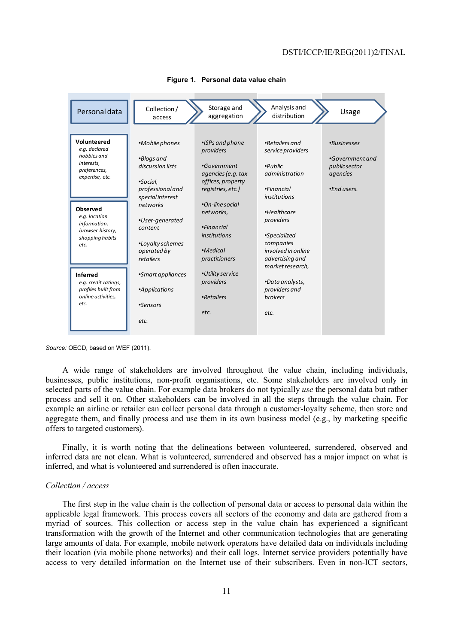

#### **Figure 1. Personal data value chain**

*Source:* OECD, based on WEF (2011).

A wide range of stakeholders are involved throughout the value chain, including individuals, businesses, public institutions, non-profit organisations, etc. Some stakeholders are involved only in selected parts of the value chain. For example data brokers do not typically *use* the personal data but rather process and sell it on. Other stakeholders can be involved in all the steps through the value chain. For example an airline or retailer can collect personal data through a customer-loyalty scheme, then store and aggregate them, and finally process and use them in its own business model (e.g., by marketing specific offers to targeted customers).

Finally, it is worth noting that the delineations between volunteered, surrendered, observed and inferred data are not clean. What is volunteered, surrendered and observed has a major impact on what is inferred, and what is volunteered and surrendered is often inaccurate.

### *Collection / access*

The first step in the value chain is the collection of personal data or access to personal data within the applicable legal framework. This process covers all sectors of the economy and data are gathered from a myriad of sources. This collection or access step in the value chain has experienced a significant transformation with the growth of the Internet and other communication technologies that are generating large amounts of data. For example, mobile network operators have detailed data on individuals including their location (via mobile phone networks) and their call logs. Internet service providers potentially have access to very detailed information on the Internet use of their subscribers. Even in non-ICT sectors,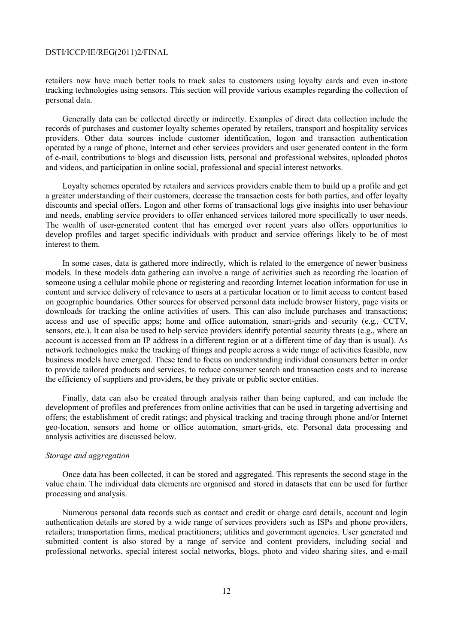retailers now have much better tools to track sales to customers using loyalty cards and even in-store tracking technologies using sensors. This section will provide various examples regarding the collection of personal data.

Generally data can be collected directly or indirectly. Examples of direct data collection include the records of purchases and customer loyalty schemes operated by retailers, transport and hospitality services providers. Other data sources include customer identification, logon and transaction authentication operated by a range of phone, Internet and other services providers and user generated content in the form of e-mail, contributions to blogs and discussion lists, personal and professional websites, uploaded photos and videos, and participation in online social, professional and special interest networks.

Loyalty schemes operated by retailers and services providers enable them to build up a profile and get a greater understanding of their customers, decrease the transaction costs for both parties, and offer loyalty discounts and special offers. Logon and other forms of transactional logs give insights into user behaviour and needs, enabling service providers to offer enhanced services tailored more specifically to user needs. The wealth of user-generated content that has emerged over recent years also offers opportunities to develop profiles and target specific individuals with product and service offerings likely to be of most interest to them.

In some cases, data is gathered more indirectly, which is related to the emergence of newer business models. In these models data gathering can involve a range of activities such as recording the location of someone using a cellular mobile phone or registering and recording Internet location information for use in content and service delivery of relevance to users at a particular location or to limit access to content based on geographic boundaries. Other sources for observed personal data include browser history, page visits or downloads for tracking the online activities of users. This can also include purchases and transactions; access and use of specific apps; home and office automation, smart-grids and security (e.g*.,* CCTV, sensors, etc.). It can also be used to help service providers identify potential security threats (e.g., where an account is accessed from an IP address in a different region or at a different time of day than is usual). As network technologies make the tracking of things and people across a wide range of activities feasible, new business models have emerged. These tend to focus on understanding individual consumers better in order to provide tailored products and services, to reduce consumer search and transaction costs and to increase the efficiency of suppliers and providers, be they private or public sector entities.

Finally, data can also be created through analysis rather than being captured, and can include the development of profiles and preferences from online activities that can be used in targeting advertising and offers; the establishment of credit ratings; and physical tracking and tracing through phone and/or Internet geo-location, sensors and home or office automation, smart-grids, etc. Personal data processing and analysis activities are discussed below.

# *Storage and aggregation*

Once data has been collected, it can be stored and aggregated. This represents the second stage in the value chain. The individual data elements are organised and stored in datasets that can be used for further processing and analysis.

Numerous personal data records such as contact and credit or charge card details, account and login authentication details are stored by a wide range of services providers such as ISPs and phone providers, retailers; transportation firms, medical practitioners; utilities and government agencies. User generated and submitted content is also stored by a range of service and content providers, including social and professional networks, special interest social networks, blogs, photo and video sharing sites, and e-mail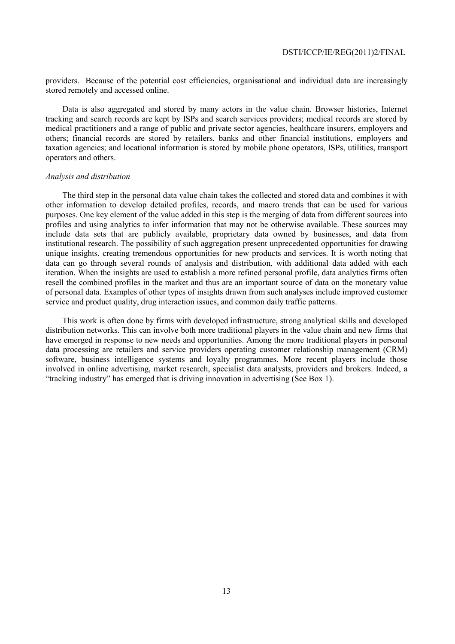providers. Because of the potential cost efficiencies, organisational and individual data are increasingly stored remotely and accessed online.

Data is also aggregated and stored by many actors in the value chain. Browser histories, Internet tracking and search records are kept by ISPs and search services providers; medical records are stored by medical practitioners and a range of public and private sector agencies, healthcare insurers, employers and others; financial records are stored by retailers, banks and other financial institutions, employers and taxation agencies; and locational information is stored by mobile phone operators, ISPs, utilities, transport operators and others.

# *Analysis and distribution*

The third step in the personal data value chain takes the collected and stored data and combines it with other information to develop detailed profiles, records, and macro trends that can be used for various purposes. One key element of the value added in this step is the merging of data from different sources into profiles and using analytics to infer information that may not be otherwise available. These sources may include data sets that are publicly available, proprietary data owned by businesses, and data from institutional research. The possibility of such aggregation present unprecedented opportunities for drawing unique insights, creating tremendous opportunities for new products and services. It is worth noting that data can go through several rounds of analysis and distribution, with additional data added with each iteration. When the insights are used to establish a more refined personal profile, data analytics firms often resell the combined profiles in the market and thus are an important source of data on the monetary value of personal data. Examples of other types of insights drawn from such analyses include improved customer service and product quality, drug interaction issues, and common daily traffic patterns.

This work is often done by firms with developed infrastructure, strong analytical skills and developed distribution networks. This can involve both more traditional players in the value chain and new firms that have emerged in response to new needs and opportunities. Among the more traditional players in personal data processing are retailers and service providers operating customer relationship management (CRM) software, business intelligence systems and loyalty programmes. More recent players include those involved in online advertising, market research, specialist data analysts, providers and brokers. Indeed, a "tracking industry" has emerged that is driving innovation in advertising (See Box 1).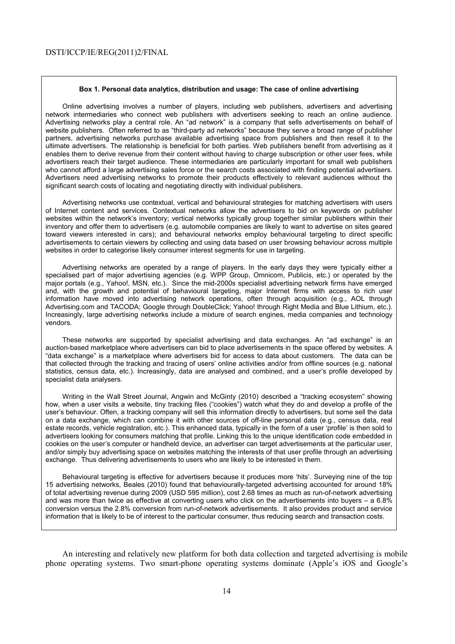#### **Box 1. Personal data analytics, distribution and usage: The case of online advertising**

Online advertising involves a number of players, including web publishers, advertisers and advertising network intermediaries who connect web publishers with advertisers seeking to reach an online audience. Advertising networks play a central role. An "ad network" is a company that sells advertisements on behalf of website publishers. Often referred to as "third-party ad networks" because they serve a broad range of publisher partners, advertising networks purchase available advertising space from publishers and then resell it to the ultimate advertisers. The relationship is beneficial for both parties. Web publishers benefit from advertising as it enables them to derive revenue from their content without having to charge subscription or other user fees, while advertisers reach their target audience. These intermediaries are particularly important for small web publishers who cannot afford a large advertising sales force or the search costs associated with finding potential advertisers. Advertisers need advertising networks to promote their products effectively to relevant audiences without the significant search costs of locating and negotiating directly with individual publishers.

Advertising networks use contextual, vertical and behavioural strategies for matching advertisers with users of Internet content and services. Contextual networks allow the advertisers to bid on keywords on publisher websites within the network's inventory; vertical networks typically group together similar publishers within their inventory and offer them to advertisers (e.g. automobile companies are likely to want to advertise on sites geared toward viewers interested in cars); and behavioural networks employ behavioural targeting to direct specific advertisements to certain viewers by collecting and using data based on user browsing behaviour across multiple websites in order to categorise likely consumer interest segments for use in targeting.

Advertising networks are operated by a range of players. In the early days they were typically either a specialised part of major advertising agencies (e.g. WPP Group, Omnicom, Publicis, etc.) or operated by the major portals (e.g., Yahoo!, MSN, etc.). Since the mid-2000s specialist advertising network firms have emerged and, with the growth and potential of behavioural targeting, major Internet firms with access to rich user information have moved into advertising network operations, often through acquisition (e.g., AOL through Advertising.com and TACODA; Google through DoubleClick; Yahoo! through Right Media and Blue Lithium, etc.). Increasingly, large advertising networks include a mixture of search engines, media companies and technology vendors.

These networks are supported by specialist advertising and data exchanges. An "ad exchange" is an auction-based marketplace where advertisers can bid to place advertisements in the space offered by websites. A "data exchange" is a marketplace where advertisers bid for access to data about customers. The data can be that collected through the tracking and tracing of users' online activities and/or from offline sources (e.g. national statistics, census data, etc.). Increasingly, data are analysed and combined, and a user's profile developed by specialist data analysers.

Writing in the Wall Street Journal, Angwin and McGinty (2010) described a "tracking ecosystem" showing how, when a user visits a website, tiny tracking files ("cookies") watch what they do and develop a profile of the user's behaviour. Often, a tracking company will sell this information directly to advertisers, but some sell the data on a data exchange, which can combine it with other sources of off-line personal data (e.g., census data, real estate records, vehicle registration, etc.). This enhanced data, typically in the form of a user 'profile' is then sold to advertisers looking for consumers matching that profile. Linking this to the unique identification code embedded in cookies on the user's computer or handheld device, an advertiser can target advertisements at the particular user, and/or simply buy advertising space on websites matching the interests of that user profile through an advertising exchange. Thus delivering advertisements to users who are likely to be interested in them.

Behavioural targeting is effective for advertisers because it produces more 'hits'. Surveying nine of the top 15 advertising networks, Beales (2010) found that behaviourally-targeted advertising accounted for around 18% of total advertising revenue during 2009 (USD 595 million), cost 2.68 times as much as run-of-network advertising and was more than twice as effective at converting users who click on the advertisements into buyers – a 6.8% conversion versus the 2.8% conversion from run-of-network advertisements. It also provides product and service information that is likely to be of interest to the particular consumer, thus reducing search and transaction costs.

An interesting and relatively new platform for both data collection and targeted advertising is mobile phone operating systems. Two smart-phone operating systems dominate (Apple's iOS and Google's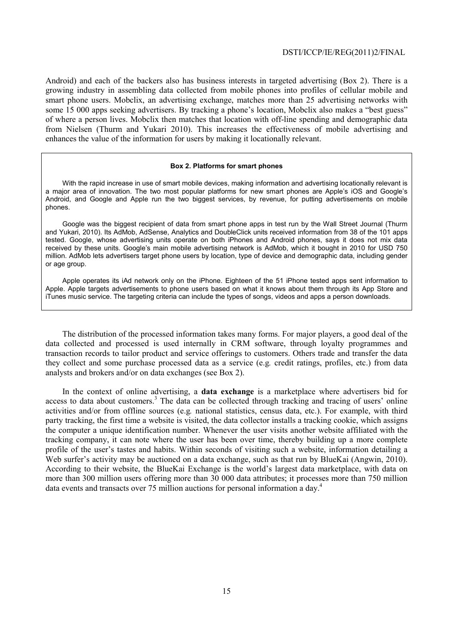Android) and each of the backers also has business interests in targeted advertising (Box 2). There is a growing industry in assembling data collected from mobile phones into profiles of cellular mobile and smart phone users. Mobclix, an advertising exchange, matches more than 25 advertising networks with some 15 000 apps seeking advertisers. By tracking a phone's location, Mobclix also makes a "best guess" of where a person lives. Mobclix then matches that location with off-line spending and demographic data from Nielsen (Thurm and Yukari 2010). This increases the effectiveness of mobile advertising and enhances the value of the information for users by making it locationally relevant.

#### **Box 2. Platforms for smart phones**

With the rapid increase in use of smart mobile devices, making information and advertising locationally relevant is a major area of innovation. The two most popular platforms for new smart phones are Apple's iOS and Google's Android, and Google and Apple run the two biggest services, by revenue, for putting advertisements on mobile phones.

Google was the biggest recipient of data from smart phone apps in test run by the Wall Street Journal (Thurm and Yukari, 2010). Its AdMob, AdSense, Analytics and DoubleClick units received information from 38 of the 101 apps tested. Google, whose advertising units operate on both iPhones and Android phones, says it does not mix data received by these units. Google's main mobile advertising network is AdMob, which it bought in 2010 for USD 750 million. AdMob lets advertisers target phone users by location, type of device and demographic data, including gender or age group.

Apple operates its iAd network only on the iPhone. Eighteen of the 51 iPhone tested apps sent information to Apple. Apple targets advertisements to phone users based on what it knows about them through its App Store and iTunes music service. The targeting criteria can include the types of songs, videos and apps a person downloads.

The distribution of the processed information takes many forms. For major players, a good deal of the data collected and processed is used internally in CRM software, through loyalty programmes and transaction records to tailor product and service offerings to customers. Others trade and transfer the data they collect and some purchase processed data as a service (e.g*.* credit ratings, profiles, etc.) from data analysts and brokers and/or on data exchanges (see Box 2).

In the context of online advertising, a **data exchange** is a marketplace where advertisers bid for access to data about customers.<sup>3</sup> The data can be collected through tracking and tracing of users' online activities and/or from offline sources (e.g*.* national statistics, census data, etc.). For example, with third party tracking, the first time a website is visited, the data collector installs a tracking cookie, which assigns the computer a unique identification number. Whenever the user visits another website affiliated with the tracking company, it can note where the user has been over time, thereby building up a more complete profile of the user's tastes and habits. Within seconds of visiting such a website, information detailing a Web surfer's activity may be auctioned on a data exchange, such as that run by BlueKai (Angwin, 2010). According to their website, the BlueKai Exchange is the world's largest data marketplace, with data on more than 300 million users offering more than 30 000 data attributes; it processes more than 750 million data events and transacts over 75 million auctions for personal information a day.<sup>4</sup>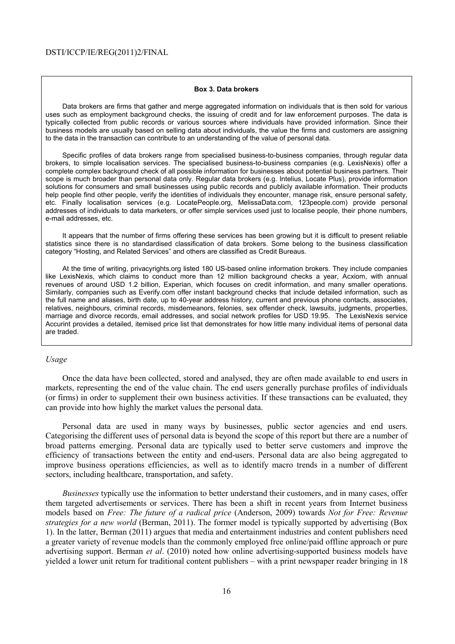#### **Box 3. Data brokers**

Data brokers are firms that gather and merge aggregated information on individuals that is then sold for various uses such as employment background checks, the issuing of credit and for law enforcement purposes. The data is typically collected from public records or various sources where individuals have provided information. Since their business models are usually based on selling data about individuals, the value the firms and customers are assigning to the data in the transaction can contribute to an understanding of the value of personal data.

Specific profiles of data brokers range from specialised business-to-business companies, through regular data brokers, to simple localisation services. The specialised business-to-business companies (e.g. LexisNexis) offer a complete complex background check of all possible information for businesses about potential business partners. Their scope is much broader than personal data only. Regular data brokers (e.g. Intelius, Locate Plus), provide information solutions for consumers and small businesses using public records and publicly available information. Their products help people find other people, verify the identities of individuals they encounter, manage risk, ensure personal safety, etc. Finally localisation services (e.g. LocatePeople.org, MelissaData.com, 123people.com) provide personal addresses of individuals to data marketers, or offer simple services used just to localise people, their phone numbers, e-mail addresses, etc.

It appears that the number of firms offering these services has been growing but it is difficult to present reliable statistics since there is no standardised classification of data brokers. Some belong to the business classification category "Hosting, and Related Services" and others are classified as Credit Bureaus.

At the time of writing, privacyrights.org listed 180 US-based online information brokers. They include companies like LexisNexis, which claims to conduct more than 12 million background checks a year, Acxiom, with annual revenues of around USD 1.2 billion, Experian, which focuses on credit information, and many smaller operations. Similarly, companies such as Everify.com offer instant background checks that include detailed information, such as the full name and aliases, birth date, up to 40-year address history, current and previous phone contacts, associates, relatives, neighbours, criminal records, misdemeanors, felonies, sex offender check, lawsuits, judgments, properties, marriage and divorce records, email addresses, and social network profiles for USD 19.95. The LexisNexis service Accurint provides a detailed, itemised price list that demonstrates for how little many individual items of personal data are traded.

#### *Usage*

Once the data have been collected, stored and analysed, they are often made available to end users in markets, representing the end of the value chain. The end users generally purchase profiles of individuals (or firms) in order to supplement their own business activities. If these transactions can be evaluated, they can provide into how highly the market values the personal data.

Personal data are used in many ways by businesses, public sector agencies and end users. Categorising the different uses of personal data is beyond the scope of this report but there are a number of broad patterns emerging. Personal data are typically used to better serve customers and improve the efficiency of transactions between the entity and end-users. Personal data are also being aggregated to improve business operations efficiencies, as well as to identify macro trends in a number of different sectors, including healthcare, transportation, and safety.

*Businesses* typically use the information to better understand their customers, and in many cases, offer them targeted advertisements or services. There has been a shift in recent years from Internet business models based on *Free: The future of a radical price* (Anderson, 2009) towards *Not for Free: Revenue strategies for a new world* (Berman, 2011). The former model is typically supported by advertising (Box 1). In the latter, Berman (2011) argues that media and entertainment industries and content publishers need a greater variety of revenue models than the commonly employed free online/paid offline approach or pure advertising support. Berman *et al*. (2010) noted how online advertising-supported business models have yielded a lower unit return for traditional content publishers – with a print newspaper reader bringing in 18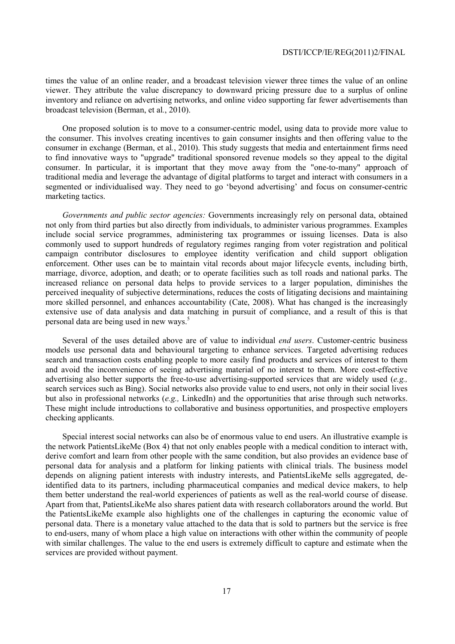times the value of an online reader, and a broadcast television viewer three times the value of an online viewer. They attribute the value discrepancy to downward pricing pressure due to a surplus of online inventory and reliance on advertising networks, and online video supporting far fewer advertisements than broadcast television (Berman, et al*.*, 2010).

One proposed solution is to move to a consumer-centric model, using data to provide more value to the consumer. This involves creating incentives to gain consumer insights and then offering value to the consumer in exchange (Berman, et al*.*, 2010). This study suggests that media and entertainment firms need to find innovative ways to "upgrade" traditional sponsored revenue models so they appeal to the digital consumer. In particular, it is important that they move away from the "one-to-many" approach of traditional media and leverage the advantage of digital platforms to target and interact with consumers in a segmented or individualised way. They need to go 'beyond advertising' and focus on consumer-centric marketing tactics.

*Governments and public sector agencies:* Governments increasingly rely on personal data, obtained not only from third parties but also directly from individuals, to administer various programmes. Examples include social service programmes, administering tax programmes or issuing licenses. Data is also commonly used to support hundreds of regulatory regimes ranging from voter registration and political campaign contributor disclosures to employee identity verification and child support obligation enforcement. Other uses can be to maintain vital records about major lifecycle events, including birth, marriage, divorce, adoption, and death; or to operate facilities such as toll roads and national parks. The increased reliance on personal data helps to provide services to a larger population, diminishes the perceived inequality of subjective determinations, reduces the costs of litigating decisions and maintaining more skilled personnel, and enhances accountability (Cate, 2008). What has changed is the increasingly extensive use of data analysis and data matching in pursuit of compliance, and a result of this is that personal data are being used in new ways.<sup>5</sup>

Several of the uses detailed above are of value to individual *end users*. Customer-centric business models use personal data and behavioural targeting to enhance services. Targeted advertising reduces search and transaction costs enabling people to more easily find products and services of interest to them and avoid the inconvenience of seeing advertising material of no interest to them. More cost-effective advertising also better supports the free-to-use advertising-supported services that are widely used (*e.g.,*  search services such as Bing). Social networks also provide value to end users, not only in their social lives but also in professional networks (*e.g.,* LinkedIn) and the opportunities that arise through such networks. These might include introductions to collaborative and business opportunities, and prospective employers checking applicants.

Special interest social networks can also be of enormous value to end users. An illustrative example is the network PatientsLikeMe (Box 4) that not only enables people with a medical condition to interact with, derive comfort and learn from other people with the same condition, but also provides an evidence base of personal data for analysis and a platform for linking patients with clinical trials. The business model depends on aligning patient interests with industry interests, and PatientsLikeMe sells aggregated, deidentified data to its partners, including pharmaceutical companies and medical device makers, to help them better understand the real-world experiences of patients as well as the real-world course of disease. Apart from that, PatientsLikeMe also shares patient data with research collaborators around the world. But the PatientsLikeMe example also highlights one of the challenges in capturing the economic value of personal data. There is a monetary value attached to the data that is sold to partners but the service is free to end-users, many of whom place a high value on interactions with other within the community of people with similar challenges. The value to the end users is extremely difficult to capture and estimate when the services are provided without payment.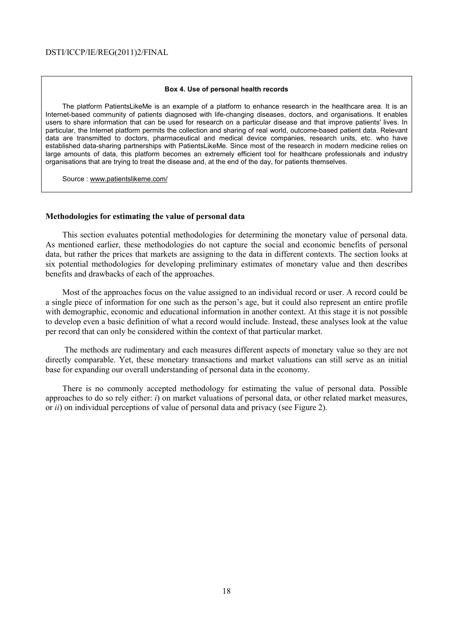#### **Box 4. Use of personal health records**

The platform PatientsLikeMe is an example of a platform to enhance research in the healthcare area. It is an Internet-based community of patients diagnosed with life-changing diseases, doctors, and organisations. It enables users to share information that can be used for research on a particular disease and that improve patients' lives. In particular, the Internet platform permits the collection and sharing of real world, outcome-based patient data. Relevant data are transmitted to doctors, pharmaceutical and medical device companies, research units, etc. who have established data-sharing partnerships with PatientsLikeMe. Since most of the research in modern medicine relies on large amounts of data, this platform becomes an extremely efficient tool for healthcare professionals and industry organisations that are trying to treat the disease and, at the end of the day, for patients themselves.

Source : www.patientslikeme.com/

#### **Methodologies for estimating the value of personal data**

This section evaluates potential methodologies for determining the monetary value of personal data. As mentioned earlier, these methodologies do not capture the social and economic benefits of personal data, but rather the prices that markets are assigning to the data in different contexts. The section looks at six potential methodologies for developing preliminary estimates of monetary value and then describes benefits and drawbacks of each of the approaches.

Most of the approaches focus on the value assigned to an individual record or user. A record could be a single piece of information for one such as the person's age, but it could also represent an entire profile with demographic, economic and educational information in another context. At this stage it is not possible to develop even a basic definition of what a record would include. Instead, these analyses look at the value per record that can only be considered within the context of that particular market.

 The methods are rudimentary and each measures different aspects of monetary value so they are not directly comparable. Yet, these monetary transactions and market valuations can still serve as an initial base for expanding our overall understanding of personal data in the economy.

There is no commonly accepted methodology for estimating the value of personal data. Possible approaches to do so rely either: *i*) on market valuations of personal data, or other related market measures, or *ii*) on individual perceptions of value of personal data and privacy (see Figure 2).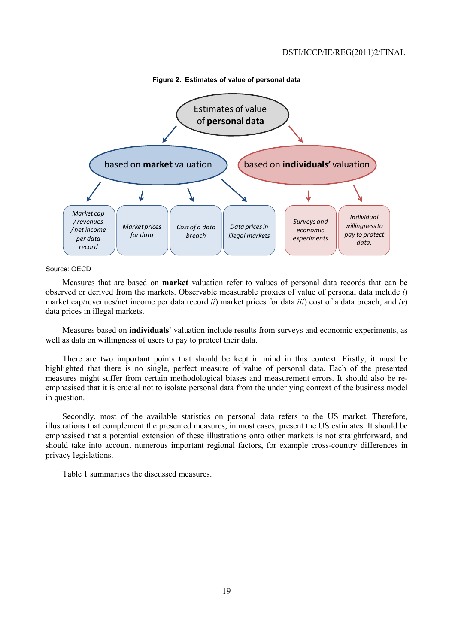

**Figure 2. Estimates of value of personal data** 

#### Source: OECD

Measures that are based on **market** valuation refer to values of personal data records that can be observed or derived from the markets. Observable measurable proxies of value of personal data include *i*) market cap/revenues/net income per data record *ii*) market prices for data *iii*) cost of a data breach; and *iv*) data prices in illegal markets.

Measures based on **individuals'** valuation include results from surveys and economic experiments, as well as data on willingness of users to pay to protect their data.

There are two important points that should be kept in mind in this context. Firstly, it must be highlighted that there is no single, perfect measure of value of personal data. Each of the presented measures might suffer from certain methodological biases and measurement errors. It should also be reemphasised that it is crucial not to isolate personal data from the underlying context of the business model in question.

Secondly, most of the available statistics on personal data refers to the US market. Therefore, illustrations that complement the presented measures, in most cases, present the US estimates. It should be emphasised that a potential extension of these illustrations onto other markets is not straightforward, and should take into account numerous important regional factors, for example cross-country differences in privacy legislations.

Table 1 summarises the discussed measures.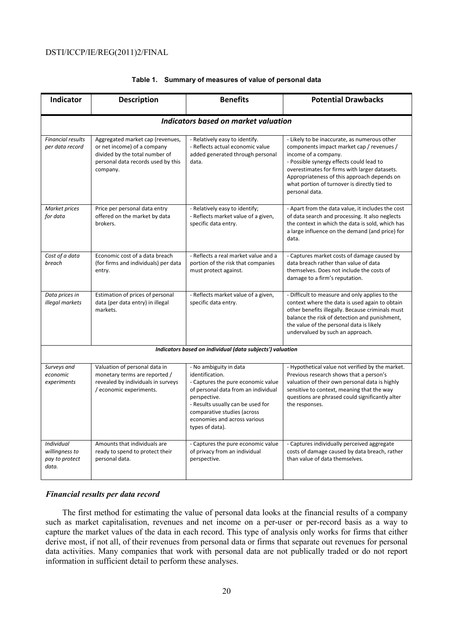|  |  |  |  | Table 1. Summary of measures of value of personal data |  |
|--|--|--|--|--------------------------------------------------------|--|
|--|--|--|--|--------------------------------------------------------|--|

| <b>Indicator</b>                                               | <b>Description</b>                                                                                                                                  | <b>Benefits</b>                                                                                                                                                                                                                                               | <b>Potential Drawbacks</b>                                                                                                                                                                                                                                                                                                      |  |  |  |  |
|----------------------------------------------------------------|-----------------------------------------------------------------------------------------------------------------------------------------------------|---------------------------------------------------------------------------------------------------------------------------------------------------------------------------------------------------------------------------------------------------------------|---------------------------------------------------------------------------------------------------------------------------------------------------------------------------------------------------------------------------------------------------------------------------------------------------------------------------------|--|--|--|--|
| <b>Indicators based on market valuation</b>                    |                                                                                                                                                     |                                                                                                                                                                                                                                                               |                                                                                                                                                                                                                                                                                                                                 |  |  |  |  |
| <b>Financial results</b><br>per data record                    | Aggregated market cap (revenues,<br>or net income) of a company<br>divided by the total number of<br>personal data records used by this<br>company. | - Relatively easy to identify.<br>- Reflects actual economic value<br>added generated through personal<br>data.                                                                                                                                               | - Likely to be inaccurate, as numerous other<br>components impact market cap / revenues /<br>income of a company.<br>- Possible synergy effects could lead to<br>overestimates for firms with larger datasets.<br>Appropriateness of this approach depends on<br>what portion of turnover is directly tied to<br>personal data. |  |  |  |  |
| Market prices<br>for data                                      | Price per personal data entry<br>offered on the market by data<br>brokers.                                                                          | - Relatively easy to identify;<br>- Reflects market value of a given,<br>specific data entry.                                                                                                                                                                 | - Apart from the data value, it includes the cost<br>of data search and processing. It also neglects<br>the context in which the data is sold, which has<br>a large influence on the demand (and price) for<br>data.                                                                                                            |  |  |  |  |
| Cost of a data<br>breach                                       | Economic cost of a data breach<br>(for firms and individuals) per data<br>entry.                                                                    | - Reflects a real market value and a<br>portion of the risk that companies<br>must protect against.                                                                                                                                                           | - Captures market costs of damage caused by<br>data breach rather than value of data<br>themselves. Does not include the costs of<br>damage to a firm's reputation.                                                                                                                                                             |  |  |  |  |
| Data prices in<br>illegal markets                              | Estimation of prices of personal<br>data (per data entry) in illegal<br>markets.                                                                    | - Reflects market value of a given,<br>specific data entry.                                                                                                                                                                                                   | - Difficult to measure and only applies to the<br>context where the data is used again to obtain<br>other benefits illegally. Because criminals must<br>balance the risk of detection and punishment,<br>the value of the personal data is likely<br>undervalued by such an approach.                                           |  |  |  |  |
| Indicators based on individual (data subjects') valuation      |                                                                                                                                                     |                                                                                                                                                                                                                                                               |                                                                                                                                                                                                                                                                                                                                 |  |  |  |  |
| Surveys and<br>economic<br>experiments                         | Valuation of personal data in<br>monetary terms are reported /<br>revealed by individuals in surveys<br>/ economic experiments.                     | - No ambiguity in data<br>identification.<br>- Captures the pure economic value<br>of personal data from an individual<br>perspective.<br>- Results usually can be used for<br>comparative studies (across<br>economies and across various<br>types of data). | - Hypothetical value not verified by the market.<br>Previous research shows that a person's<br>valuation of their own personal data is highly<br>sensitive to context, meaning that the way<br>questions are phrased could significantly alter<br>the responses.                                                                |  |  |  |  |
| <b>Individual</b><br>willingness to<br>pay to protect<br>data. | Amounts that individuals are<br>ready to spend to protect their<br>personal data.                                                                   | - Captures the pure economic value<br>of privacy from an individual<br>perspective.                                                                                                                                                                           | - Captures individually perceived aggregate<br>costs of damage caused by data breach, rather<br>than value of data themselves.                                                                                                                                                                                                  |  |  |  |  |

# *Financial results per data record*

The first method for estimating the value of personal data looks at the financial results of a company such as market capitalisation, revenues and net income on a per-user or per-record basis as a way to capture the market values of the data in each record. This type of analysis only works for firms that either derive most, if not all, of their revenues from personal data or firms that separate out revenues for personal data activities. Many companies that work with personal data are not publically traded or do not report information in sufficient detail to perform these analyses.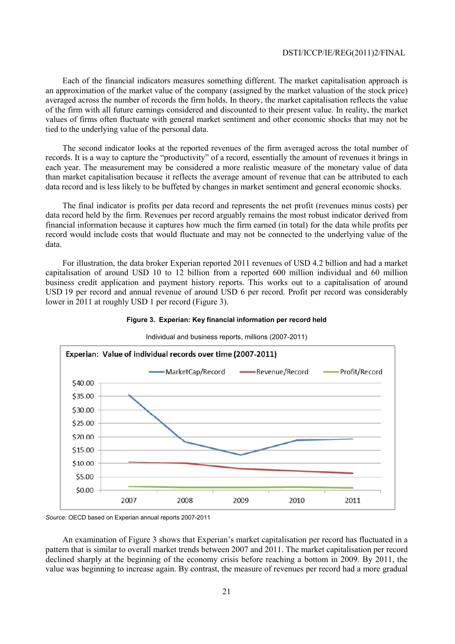Each of the financial indicators measures something different. The market capitalisation approach is an approximation of the market value of the company (assigned by the market valuation of the stock price) averaged across the number of records the firm holds. In theory, the market capitalisation reflects the value of the firm with all future earnings considered and discounted to their present value. In reality, the market values of firms often fluctuate with general market sentiment and other economic shocks that may not be tied to the underlying value of the personal data.

The second indicator looks at the reported revenues of the firm averaged across the total number of records. It is a way to capture the "productivity" of a record, essentially the amount of revenues it brings in each year. The measurement may be considered a more realistic measure of the monetary value of data than market capitalisation because it reflects the average amount of revenue that can be attributed to each data record and is less likely to be buffeted by changes in market sentiment and general economic shocks.

The final indicator is profits per data record and represents the net profit (revenues minus costs) per data record held by the firm. Revenues per record arguably remains the most robust indicator derived from financial information because it captures how much the firm earned (in total) for the data while profits per record would include costs that would fluctuate and may not be connected to the underlying value of the data.

For illustration, the data broker Experian reported 2011 revenues of USD 4.2 billion and had a market capitalisation of around USD 10 to 12 billion from a reported 600 million individual and 60 million business credit application and payment history reports. This works out to a capitalisation of around USD 19 per record and annual revenue of around USD 6 per record. Profit per record was considerably lower in 2011 at roughly USD 1 per record (Figure 3).



Individual and business reports, millions (2007-2011)

**Figure 3. Experian: Key financial information per record held** 

An examination of Figure 3 shows that Experian's market capitalisation per record has fluctuated in a pattern that is similar to overall market trends between 2007 and 2011. The market capitalisation per record declined sharply at the beginning of the economy crisis before reaching a bottom in 2009. By 2011, the value was beginning to increase again. By contrast, the measure of revenues per record had a more gradual

*Source:* OECD based on Experian annual reports 2007-2011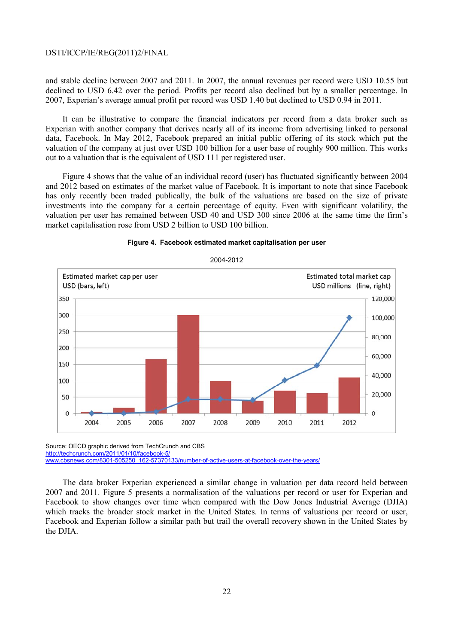and stable decline between 2007 and 2011. In 2007, the annual revenues per record were USD 10.55 but declined to USD 6.42 over the period. Profits per record also declined but by a smaller percentage. In 2007, Experian's average annual profit per record was USD 1.40 but declined to USD 0.94 in 2011.

It can be illustrative to compare the financial indicators per record from a data broker such as Experian with another company that derives nearly all of its income from advertising linked to personal data, Facebook. In May 2012, Facebook prepared an initial public offering of its stock which put the valuation of the company at just over USD 100 billion for a user base of roughly 900 million. This works out to a valuation that is the equivalent of USD 111 per registered user.

Figure 4 shows that the value of an individual record (user) has fluctuated significantly between 2004 and 2012 based on estimates of the market value of Facebook. It is important to note that since Facebook has only recently been traded publically, the bulk of the valuations are based on the size of private investments into the company for a certain percentage of equity. Even with significant volatility, the valuation per user has remained between USD 40 and USD 300 since 2006 at the same time the firm's market capitalisation rose from USD 2 billion to USD 100 billion.





Source: OECD graphic derived from TechCrunch and CBS http://techcrunch.com/2011/01/10/facebook-5/ www.cbsnews.com/8301-505250\_162-57370133/number-of-active-users-at-facebook-over-the-years/

The data broker Experian experienced a similar change in valuation per data record held between 2007 and 2011. Figure 5 presents a normalisation of the valuations per record or user for Experian and Facebook to show changes over time when compared with the Dow Jones Industrial Average (DJIA) which tracks the broader stock market in the United States. In terms of valuations per record or user, Facebook and Experian follow a similar path but trail the overall recovery shown in the United States by the DJIA.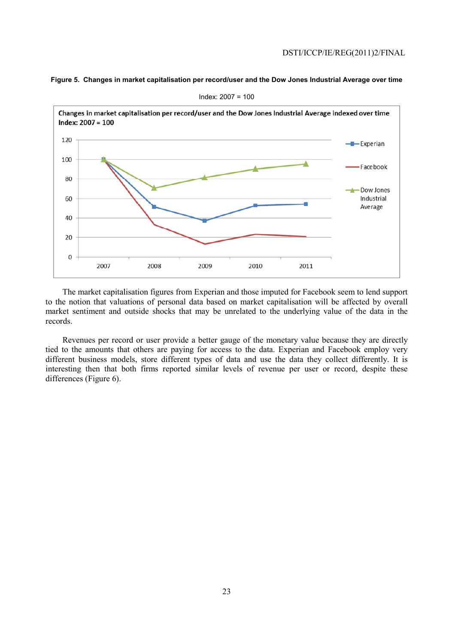**Figure 5. Changes in market capitalisation per record/user and the Dow Jones Industrial Average over time** 



Index: 2007 = 100

The market capitalisation figures from Experian and those imputed for Facebook seem to lend support to the notion that valuations of personal data based on market capitalisation will be affected by overall market sentiment and outside shocks that may be unrelated to the underlying value of the data in the records.

Revenues per record or user provide a better gauge of the monetary value because they are directly tied to the amounts that others are paying for access to the data. Experian and Facebook employ very different business models, store different types of data and use the data they collect differently. It is interesting then that both firms reported similar levels of revenue per user or record, despite these differences (Figure 6).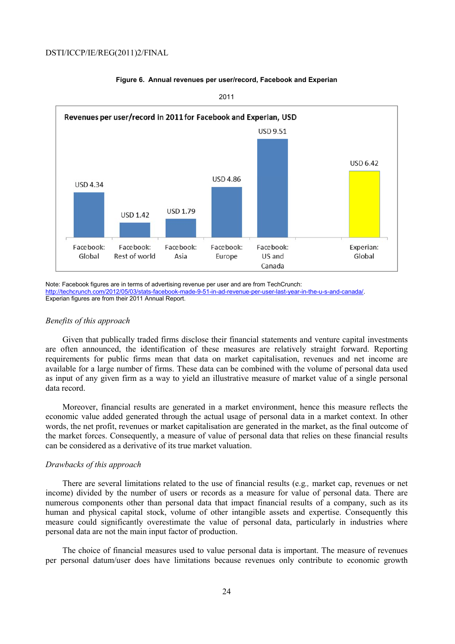

# **Figure 6. Annual revenues per user/record, Facebook and Experian**

2011

Note: Facebook figures are in terms of advertising revenue per user and are from TechCrunch: http://techcrunch.com/2012/05/03/stats-facebook-made-9-51-in-ad-revenue-per-user-last-year-in-the-u-s-and-canada/. Experian figures are from their 2011 Annual Report.

# *Benefits of this approach*

Given that publically traded firms disclose their financial statements and venture capital investments are often announced, the identification of these measures are relatively straight forward. Reporting requirements for public firms mean that data on market capitalisation, revenues and net income are available for a large number of firms. These data can be combined with the volume of personal data used as input of any given firm as a way to yield an illustrative measure of market value of a single personal data record.

Moreover, financial results are generated in a market environment, hence this measure reflects the economic value added generated through the actual usage of personal data in a market context. In other words, the net profit, revenues or market capitalisation are generated in the market, as the final outcome of the market forces. Consequently, a measure of value of personal data that relies on these financial results can be considered as a derivative of its true market valuation.

#### *Drawbacks of this approach*

There are several limitations related to the use of financial results (e.g*.,* market cap, revenues or net income) divided by the number of users or records as a measure for value of personal data. There are numerous components other than personal data that impact financial results of a company, such as its human and physical capital stock, volume of other intangible assets and expertise. Consequently this measure could significantly overestimate the value of personal data, particularly in industries where personal data are not the main input factor of production.

The choice of financial measures used to value personal data is important. The measure of revenues per personal datum/user does have limitations because revenues only contribute to economic growth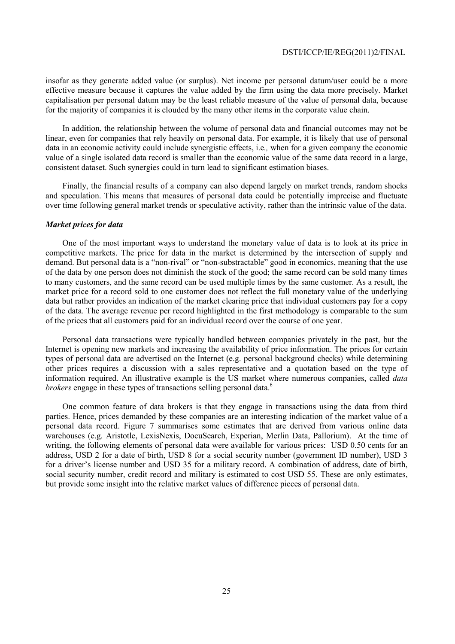insofar as they generate added value (or surplus). Net income per personal datum/user could be a more effective measure because it captures the value added by the firm using the data more precisely. Market capitalisation per personal datum may be the least reliable measure of the value of personal data, because for the majority of companies it is clouded by the many other items in the corporate value chain.

In addition, the relationship between the volume of personal data and financial outcomes may not be linear, even for companies that rely heavily on personal data. For example, it is likely that use of personal data in an economic activity could include synergistic effects, i.e*.,* when for a given company the economic value of a single isolated data record is smaller than the economic value of the same data record in a large, consistent dataset. Such synergies could in turn lead to significant estimation biases.

Finally, the financial results of a company can also depend largely on market trends, random shocks and speculation. This means that measures of personal data could be potentially imprecise and fluctuate over time following general market trends or speculative activity, rather than the intrinsic value of the data.

# *Market prices for data*

One of the most important ways to understand the monetary value of data is to look at its price in competitive markets. The price for data in the market is determined by the intersection of supply and demand. But personal data is a "non-rival" or "non-substractable" good in economics, meaning that the use of the data by one person does not diminish the stock of the good; the same record can be sold many times to many customers, and the same record can be used multiple times by the same customer. As a result, the market price for a record sold to one customer does not reflect the full monetary value of the underlying data but rather provides an indication of the market clearing price that individual customers pay for a copy of the data. The average revenue per record highlighted in the first methodology is comparable to the sum of the prices that all customers paid for an individual record over the course of one year.

Personal data transactions were typically handled between companies privately in the past, but the Internet is opening new markets and increasing the availability of price information. The prices for certain types of personal data are advertised on the Internet (e.g. personal background checks) while determining other prices requires a discussion with a sales representative and a quotation based on the type of information required. An illustrative example is the US market where numerous companies, called *data brokers* engage in these types of transactions selling personal data.<sup>6</sup>

One common feature of data brokers is that they engage in transactions using the data from third parties. Hence, prices demanded by these companies are an interesting indication of the market value of a personal data record. Figure 7 summarises some estimates that are derived from various online data warehouses (e.g. Aristotle, LexisNexis, DocuSearch, Experian, Merlin Data, Pallorium). At the time of writing, the following elements of personal data were available for various prices: USD 0.50 cents for an address, USD 2 for a date of birth, USD 8 for a social security number (government ID number), USD 3 for a driver's license number and USD 35 for a military record. A combination of address, date of birth, social security number, credit record and military is estimated to cost USD 55. These are only estimates, but provide some insight into the relative market values of difference pieces of personal data.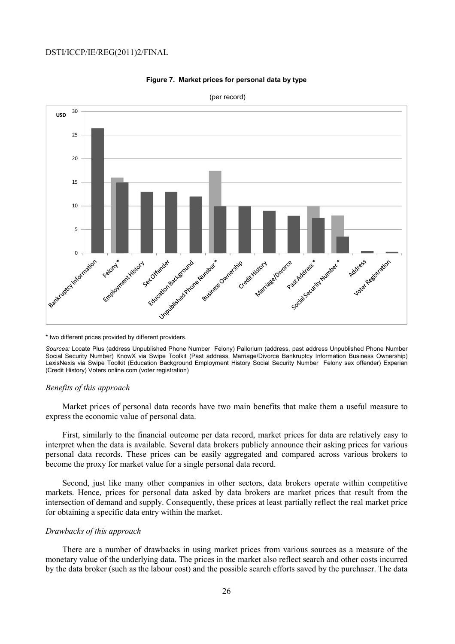

#### **Figure 7. Market prices for personal data by type**

\* two different prices provided by different providers.

*Sources:* Locate Plus (address Unpublished Phone Number Felony) Pallorium (address, past address Unpublished Phone Number Social Security Number) KnowX via Swipe Toolkit (Past address, Marriage/Divorce Bankruptcy Information Business Ownership) LexisNexis via Swipe Toolkit (Education Background Employment History Social Security Number Felony sex offender) Experian (Credit History) Voters online.com (voter registration)

# *Benefits of this approach*

Market prices of personal data records have two main benefits that make them a useful measure to express the economic value of personal data.

First, similarly to the financial outcome per data record, market prices for data are relatively easy to interpret when the data is available. Several data brokers publicly announce their asking prices for various personal data records. These prices can be easily aggregated and compared across various brokers to become the proxy for market value for a single personal data record.

Second, just like many other companies in other sectors, data brokers operate within competitive markets. Hence, prices for personal data asked by data brokers are market prices that result from the intersection of demand and supply. Consequently, these prices at least partially reflect the real market price for obtaining a specific data entry within the market.

# *Drawbacks of this approach*

There are a number of drawbacks in using market prices from various sources as a measure of the monetary value of the underlying data. The prices in the market also reflect search and other costs incurred by the data broker (such as the labour cost) and the possible search efforts saved by the purchaser. The data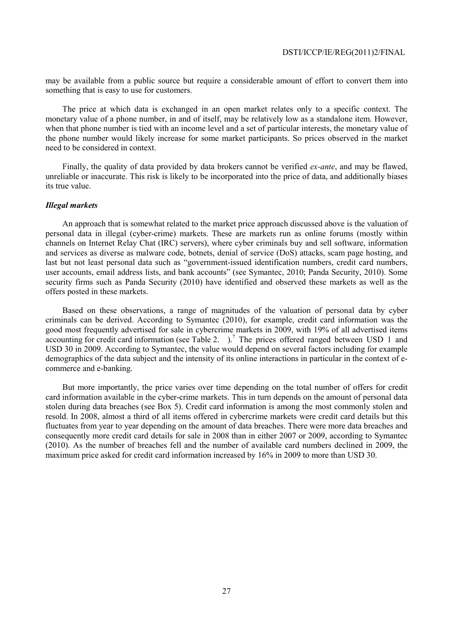may be available from a public source but require a considerable amount of effort to convert them into something that is easy to use for customers.

The price at which data is exchanged in an open market relates only to a specific context. The monetary value of a phone number, in and of itself, may be relatively low as a standalone item. However, when that phone number is tied with an income level and a set of particular interests, the monetary value of the phone number would likely increase for some market participants. So prices observed in the market need to be considered in context.

Finally, the quality of data provided by data brokers cannot be verified *ex-ante*, and may be flawed, unreliable or inaccurate. This risk is likely to be incorporated into the price of data, and additionally biases its true value.

# *Illegal markets*

An approach that is somewhat related to the market price approach discussed above is the valuation of personal data in illegal (cyber-crime) markets. These are markets run as online forums (mostly within channels on Internet Relay Chat (IRC) servers), where cyber criminals buy and sell software, information and services as diverse as malware code, botnets, denial of service (DoS) attacks, scam page hosting, and last but not least personal data such as "government-issued identification numbers, credit card numbers, user accounts, email address lists, and bank accounts" (see Symantec, 2010; Panda Security, 2010). Some security firms such as Panda Security (2010) have identified and observed these markets as well as the offers posted in these markets.

Based on these observations, a range of magnitudes of the valuation of personal data by cyber criminals can be derived. According to Symantec (2010), for example, credit card information was the good most frequently advertised for sale in cybercrime markets in 2009, with 19% of all advertised items accounting for credit card information (see Table 2.  $\cdot$ ).<sup>7</sup> The prices offered ranged between USD 1 and USD 30 in 2009. According to Symantec, the value would depend on several factors including for example demographics of the data subject and the intensity of its online interactions in particular in the context of ecommerce and e-banking.

But more importantly, the price varies over time depending on the total number of offers for credit card information available in the cyber-crime markets. This in turn depends on the amount of personal data stolen during data breaches (see Box 5). Credit card information is among the most commonly stolen and resold. In 2008, almost a third of all items offered in cybercrime markets were credit card details but this fluctuates from year to year depending on the amount of data breaches. There were more data breaches and consequently more credit card details for sale in 2008 than in either 2007 or 2009, according to Symantec (2010). As the number of breaches fell and the number of available card numbers declined in 2009, the maximum price asked for credit card information increased by 16% in 2009 to more than USD 30.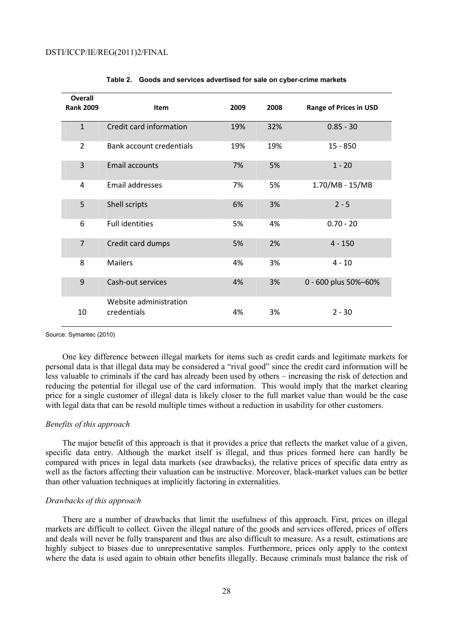| Overall<br><b>Rank 2009</b> | <b>Item</b>                           | 2009 | 2008 | <b>Range of Prices in USD</b> |
|-----------------------------|---------------------------------------|------|------|-------------------------------|
| $\mathbf{1}$                | Credit card information               | 19%  | 32%  | $0.85 - 30$                   |
| $\overline{2}$              | Bank account credentials              | 19%  | 19%  | $15 - 850$                    |
| 3                           | <b>Email accounts</b>                 | 7%   | 5%   | $1 - 20$                      |
| 4                           | Email addresses                       | 7%   | 5%   | 1.70/MB - 15/MB               |
| 5                           | Shell scripts                         | 6%   | 3%   | $2 - 5$                       |
| 6                           | <b>Full identities</b>                | 5%   | 4%   | $0.70 - 20$                   |
| $\overline{7}$              | Credit card dumps                     | 5%   | 2%   | $4 - 150$                     |
| 8                           | <b>Mailers</b>                        | 4%   | 3%   | $4 - 10$                      |
| 9                           | Cash-out services                     | 4%   | 3%   | 0 - 600 plus 50%-60%          |
| 10                          | Website administration<br>credentials | 4%   | 3%   | $2 - 30$                      |

|  |  |  |  |  |  | Table 2. Goods and services advertised for sale on cyber-crime markets |  |
|--|--|--|--|--|--|------------------------------------------------------------------------|--|
|--|--|--|--|--|--|------------------------------------------------------------------------|--|

Source: Symantec (2010)

One key difference between illegal markets for items such as credit cards and legitimate markets for personal data is that illegal data may be considered a "rival good" since the credit card information will be less valuable to criminals if the card has already been used by others – increasing the risk of detection and reducing the potential for illegal use of the card information. This would imply that the market clearing price for a single customer of illegal data is likely closer to the full market value than would be the case with legal data that can be resold multiple times without a reduction in usability for other customers.

# *Benefits of this approach*

The major benefit of this approach is that it provides a price that reflects the market value of a given, specific data entry. Although the market itself is illegal, and thus prices formed here can hardly be compared with prices in legal data markets (see drawbacks), the relative prices of specific data entry as well as the factors affecting their valuation can be instructive. Moreover, black-market values can be better than other valuation techniques at implicitly factoring in externalities.

# *Drawbacks of this approach*

There are a number of drawbacks that limit the usefulness of this approach. First, prices on illegal markets are difficult to collect. Given the illegal nature of the goods and services offered, prices of offers and deals will never be fully transparent and thus are also difficult to measure. As a result, estimations are highly subject to biases due to unrepresentative samples. Furthermore, prices only apply to the context where the data is used again to obtain other benefits illegally. Because criminals must balance the risk of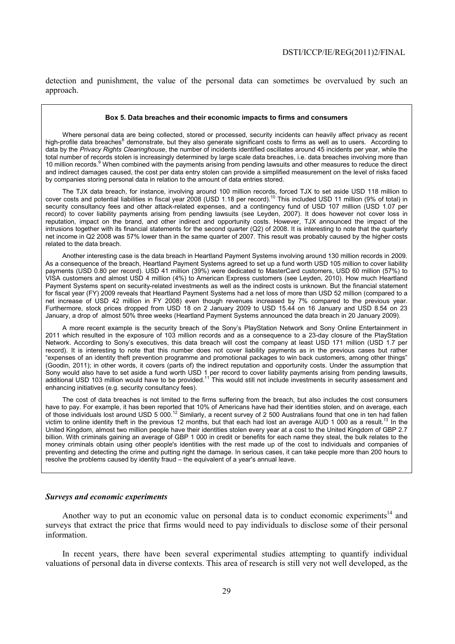detection and punishment, the value of the personal data can sometimes be overvalued by such an approach.

#### **Box 5. Data breaches and their economic impacts to firms and consumers**

Where personal data are being collected, stored or processed, security incidents can heavily affect privacy as recent high-profile data breaches<sup>8</sup> demonstrate, but they also generate significant costs to firms as well as to users. According to data by the *Privacy Rights Clearinghouse*, the number of incidents identified oscillates around 45 incidents per year, while the total number of records stolen is increasingly determined by large scale data breaches, i.e*.* data breaches involving more than 10 million records.<sup>9</sup> When combined with the payments arising from pending lawsuits and other measures to reduce the direct and indirect damages caused, the cost per data entry stolen can provide a simplified measurement on the level of risks faced by companies storing personal data in relation to the amount of data entries stored.

The TJX data breach, for instance, involving around 100 million records, forced TJX to set aside USD 118 million to cover costs and potential liabilities in fiscal year 2008 (USD 1.18 per record).<sup>10</sup> This included USD 11 million (9% of total) in security consultancy fees and other attack-related expenses, and a contingency fund of USD 107 million (USD 1.07 per record) to cover liability payments arising from pending lawsuits (see Leyden, 2007). It does however not cover loss in reputation, impact on the brand, and other indirect and opportunity costs. However, TJX announced the impact of the intrusions together with its financial statements for the second quarter (Q2) of 2008. It is interesting to note that the quarterly net income in Q2 2008 was 57% lower than in the same quarter of 2007. This result was probably caused by the higher costs related to the data breach.

Another interesting case is the data breach in Heartland Payment Systems involving around 130 million records in 2009. As a consequence of the breach, Heartland Payment Systems agreed to set up a fund worth USD 105 million to cover liability payments (USD 0.80 per record). USD 41 million (39%) were dedicated to MasterCard customers, USD 60 million (57%) to VISA customers and almost USD 4 million (4%) to American Express customers (see Leyden, 2010). How much Heartland Payment Systems spent on security-related investments as well as the indirect costs is unknown. But the financial statement for fiscal year (FY) 2009 reveals that Heartland Payment Systems had a net loss of more than USD 52 million (compared to a net increase of USD 42 million in FY 2008) even though revenues increased by 7% compared to the previous year. Furthermore, stock prices dropped from USD 18 on 2 January 2009 to USD 15.44 on 16 January and USD 8.54 on 23 January, a drop of almost 50% three weeks (Heartland Payment Systems announced the data breach in 20 January 2009).

A more recent example is the security breach of the Sony's PlayStation Network and Sony Online Entertainment in 2011 which resulted in the exposure of 103 million records and as a consequence to a 23-day closure of the PlayStation Network. According to Sony's executives, this data breach will cost the company at least USD 171 million (USD 1.7 per record). It is interesting to note that this number does not cover liability payments as in the previous cases but rather "expenses of an identity theft prevention programme and promotional packages to win back customers, among other things" (Goodin, 2011); in other words, it covers (parts of) the indirect reputation and opportunity costs. Under the assumption that Sony would also have to set aside a fund worth USD 1 per record to cover liability payments arising from pending lawsuits, additional USD 103 million would have to be provided.<sup>11</sup> This would still not include investments in security assessment and enhancing initiatives (e.g*.* security consultancy fees).

The cost of data breaches is not limited to the firms suffering from the breach, but also includes the cost consumers have to pay. For example, it has been reported that 10% of Americans have had their identities stolen, and on average, each of those individuals lost around USD 5 000.<sup>12</sup> Similarly, a recent survey of 2 500 Australians found that one in ten had fallen victim to online identity theft in the previous 12 months, but that each had lost an average AUD 1 000 as a result.<sup>13</sup> In the United Kingdom, almost two million people have their identities stolen every year at a cost to the United Kingdom of GBP 2.7 billion. With criminals gaining an average of GBP 1 000 in credit or benefits for each name they steal, the bulk relates to the money criminals obtain using other people's identities with the rest made up of the cost to individuals and companies of preventing and detecting the crime and putting right the damage. In serious cases, it can take people more than 200 hours to resolve the problems caused by identity fraud – the equivalent of a year's annual leave.

#### *Surveys and economic experiments*

Another way to put an economic value on personal data is to conduct economic experiments<sup>14</sup> and surveys that extract the price that firms would need to pay individuals to disclose some of their personal information.

In recent years, there have been several experimental studies attempting to quantify individual valuations of personal data in diverse contexts. This area of research is still very not well developed, as the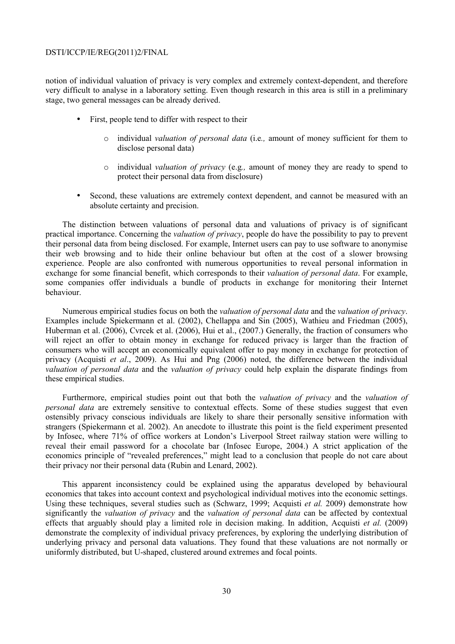notion of individual valuation of privacy is very complex and extremely context-dependent, and therefore very difficult to analyse in a laboratory setting. Even though research in this area is still in a preliminary stage, two general messages can be already derived.

- First, people tend to differ with respect to their
	- o individual *valuation of personal data* (i.e*.,* amount of money sufficient for them to disclose personal data)
	- o individual *valuation of privacy* (e.g*.,* amount of money they are ready to spend to protect their personal data from disclosure)
- Second, these valuations are extremely context dependent, and cannot be measured with an absolute certainty and precision.

The distinction between valuations of personal data and valuations of privacy is of significant practical importance. Concerning the *valuation of privacy*, people do have the possibility to pay to prevent their personal data from being disclosed. For example, Internet users can pay to use software to anonymise their web browsing and to hide their online behaviour but often at the cost of a slower browsing experience. People are also confronted with numerous opportunities to reveal personal information in exchange for some financial benefit, which corresponds to their *valuation of personal data*. For example, some companies offer individuals a bundle of products in exchange for monitoring their Internet behaviour.

Numerous empirical studies focus on both the *valuation of personal data* and the *valuation of privacy*. Examples include Spiekermann et al. (2002), Chellappa and Sin (2005), Wathieu and Friedman (2005), Huberman et al. (2006), Cvrcek et al. (2006), Hui et al., (2007.) Generally, the fraction of consumers who will reject an offer to obtain money in exchange for reduced privacy is larger than the fraction of consumers who will accept an economically equivalent offer to pay money in exchange for protection of privacy (Acquisti *et al*., 2009). As Hui and Png (2006) noted, the difference between the individual *valuation of personal data* and the *valuation of privacy* could help explain the disparate findings from these empirical studies.

Furthermore, empirical studies point out that both the *valuation of privacy* and the *valuation of personal data* are extremely sensitive to contextual effects. Some of these studies suggest that even ostensibly privacy conscious individuals are likely to share their personally sensitive information with strangers (Spiekermann et al. 2002). An anecdote to illustrate this point is the field experiment presented by Infosec, where 71% of office workers at London's Liverpool Street railway station were willing to reveal their email password for a chocolate bar (Infosec Europe, 2004.) A strict application of the economics principle of "revealed preferences," might lead to a conclusion that people do not care about their privacy nor their personal data (Rubin and Lenard, 2002).

This apparent inconsistency could be explained using the apparatus developed by behavioural economics that takes into account context and psychological individual motives into the economic settings. Using these techniques, several studies such as (Schwarz, 1999; Acquisti *et al.* 2009) demonstrate how significantly the *valuation of privacy* and the *valuation of personal data* can be affected by contextual effects that arguably should play a limited role in decision making. In addition, Acquisti *et al.* (2009) demonstrate the complexity of individual privacy preferences, by exploring the underlying distribution of underlying privacy and personal data valuations. They found that these valuations are not normally or uniformly distributed, but U-shaped, clustered around extremes and focal points.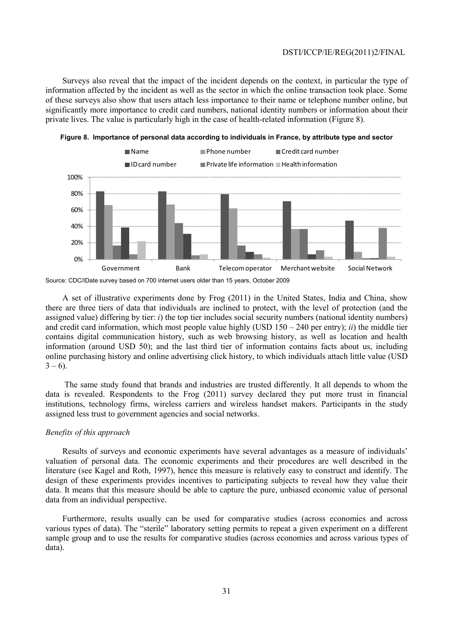Surveys also reveal that the impact of the incident depends on the context, in particular the type of information affected by the incident as well as the sector in which the online transaction took place. Some of these surveys also show that users attach less importance to their name or telephone number online, but significantly more importance to credit card numbers, national identity numbers or information about their private lives. The value is particularly high in the case of health-related information (Figure 8).





A set of illustrative experiments done by Frog (2011) in the United States, India and China, show there are three tiers of data that individuals are inclined to protect, with the level of protection (and the assigned value) differing by tier: *i*) the top tier includes social security numbers (national identity numbers) and credit card information, which most people value highly (USD 150 – 240 per entry); *ii*) the middle tier contains digital communication history, such as web browsing history, as well as location and health information (around USD 50); and the last third tier of information contains facts about us, including online purchasing history and online advertising click history, to which individuals attach little value (USD  $3 - 6$ ).

 The same study found that brands and industries are trusted differently. It all depends to whom the data is revealed. Respondents to the Frog (2011) survey declared they put more trust in financial institutions, technology firms, wireless carriers and wireless handset makers. Participants in the study assigned less trust to government agencies and social networks.

#### *Benefits of this approach*

Results of surveys and economic experiments have several advantages as a measure of individuals' valuation of personal data. The economic experiments and their procedures are well described in the literature (see Kagel and Roth, 1997), hence this measure is relatively easy to construct and identify. The design of these experiments provides incentives to participating subjects to reveal how they value their data. It means that this measure should be able to capture the pure, unbiased economic value of personal data from an individual perspective.

Furthermore, results usually can be used for comparative studies (across economies and across various types of data). The "sterile" laboratory setting permits to repeat a given experiment on a different sample group and to use the results for comparative studies (across economies and across various types of data).

Source: CDC/IDate survey based on 700 internet users older than 15 years, October 2009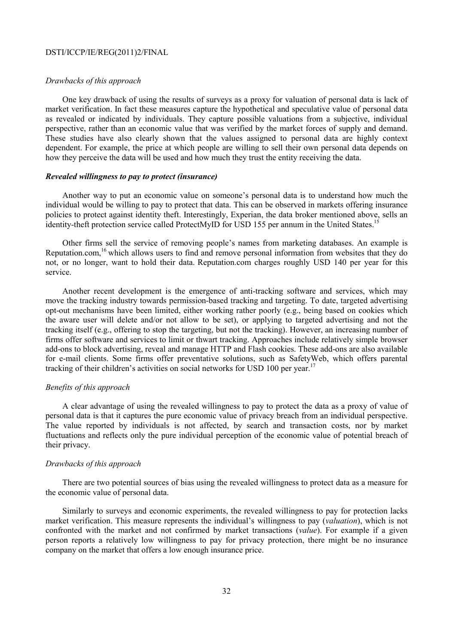### *Drawbacks of this approach*

One key drawback of using the results of surveys as a proxy for valuation of personal data is lack of market verification. In fact these measures capture the hypothetical and speculative value of personal data as revealed or indicated by individuals. They capture possible valuations from a subjective, individual perspective, rather than an economic value that was verified by the market forces of supply and demand. These studies have also clearly shown that the values assigned to personal data are highly context dependent. For example, the price at which people are willing to sell their own personal data depends on how they perceive the data will be used and how much they trust the entity receiving the data.

# *Revealed willingness to pay to protect (insurance)*

Another way to put an economic value on someone's personal data is to understand how much the individual would be willing to pay to protect that data. This can be observed in markets offering insurance policies to protect against identity theft. Interestingly, Experian, the data broker mentioned above, sells an identity-theft protection service called ProtectMyID for USD 155 per annum in the United States.<sup>1</sup>

Other firms sell the service of removing people's names from marketing databases. An example is Reputation.com,<sup>16</sup> which allows users to find and remove personal information from websites that they do not, or no longer, want to hold their data. Reputation.com charges roughly USD 140 per year for this service.

Another recent development is the emergence of anti-tracking software and services, which may move the tracking industry towards permission-based tracking and targeting. To date, targeted advertising opt-out mechanisms have been limited, either working rather poorly (e.g., being based on cookies which the aware user will delete and/or not allow to be set), or applying to targeted advertising and not the tracking itself (e.g., offering to stop the targeting, but not the tracking). However, an increasing number of firms offer software and services to limit or thwart tracking. Approaches include relatively simple browser add-ons to block advertising, reveal and manage HTTP and Flash cookies. These add-ons are also available for e-mail clients. Some firms offer preventative solutions, such as SafetyWeb, which offers parental tracking of their children's activities on social networks for USD 100 per year.<sup>17</sup>

# *Benefits of this approach*

A clear advantage of using the revealed willingness to pay to protect the data as a proxy of value of personal data is that it captures the pure economic value of privacy breach from an individual perspective. The value reported by individuals is not affected, by search and transaction costs, nor by market fluctuations and reflects only the pure individual perception of the economic value of potential breach of their privacy.

# *Drawbacks of this approach*

There are two potential sources of bias using the revealed willingness to protect data as a measure for the economic value of personal data.

Similarly to surveys and economic experiments, the revealed willingness to pay for protection lacks market verification. This measure represents the individual's willingness to pay (*valuation*), which is not confronted with the market and not confirmed by market transactions (*value*). For example if a given person reports a relatively low willingness to pay for privacy protection, there might be no insurance company on the market that offers a low enough insurance price.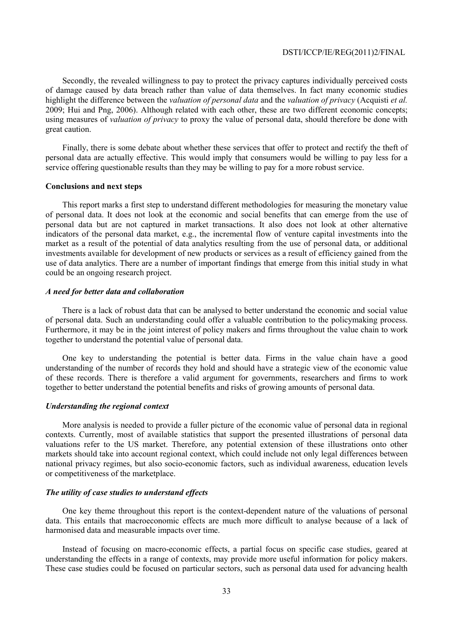Secondly, the revealed willingness to pay to protect the privacy captures individually perceived costs of damage caused by data breach rather than value of data themselves. In fact many economic studies highlight the difference between the *valuation of personal data* and the *valuation of privacy* (Acquisti *et al.* 2009; Hui and Png, 2006). Although related with each other, these are two different economic concepts; using measures of *valuation of privacy* to proxy the value of personal data, should therefore be done with great caution.

Finally, there is some debate about whether these services that offer to protect and rectify the theft of personal data are actually effective. This would imply that consumers would be willing to pay less for a service offering questionable results than they may be willing to pay for a more robust service.

# **Conclusions and next steps**

This report marks a first step to understand different methodologies for measuring the monetary value of personal data. It does not look at the economic and social benefits that can emerge from the use of personal data but are not captured in market transactions. It also does not look at other alternative indicators of the personal data market, e.g., the incremental flow of venture capital investments into the market as a result of the potential of data analytics resulting from the use of personal data, or additional investments available for development of new products or services as a result of efficiency gained from the use of data analytics. There are a number of important findings that emerge from this initial study in what could be an ongoing research project.

# *A need for better data and collaboration*

There is a lack of robust data that can be analysed to better understand the economic and social value of personal data. Such an understanding could offer a valuable contribution to the policymaking process. Furthermore, it may be in the joint interest of policy makers and firms throughout the value chain to work together to understand the potential value of personal data.

One key to understanding the potential is better data. Firms in the value chain have a good understanding of the number of records they hold and should have a strategic view of the economic value of these records. There is therefore a valid argument for governments, researchers and firms to work together to better understand the potential benefits and risks of growing amounts of personal data.

# *Understanding the regional context*

More analysis is needed to provide a fuller picture of the economic value of personal data in regional contexts. Currently, most of available statistics that support the presented illustrations of personal data valuations refer to the US market. Therefore, any potential extension of these illustrations onto other markets should take into account regional context, which could include not only legal differences between national privacy regimes, but also socio-economic factors, such as individual awareness, education levels or competitiveness of the marketplace.

#### *The utility of case studies to understand effects*

One key theme throughout this report is the context-dependent nature of the valuations of personal data. This entails that macroeconomic effects are much more difficult to analyse because of a lack of harmonised data and measurable impacts over time.

Instead of focusing on macro-economic effects, a partial focus on specific case studies, geared at understanding the effects in a range of contexts, may provide more useful information for policy makers. These case studies could be focused on particular sectors, such as personal data used for advancing health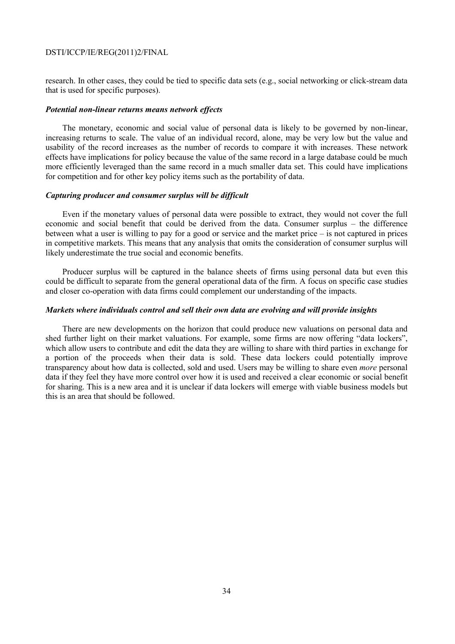research. In other cases, they could be tied to specific data sets (e.g., social networking or click-stream data that is used for specific purposes).

#### *Potential non-linear returns means network effects*

The monetary, economic and social value of personal data is likely to be governed by non-linear, increasing returns to scale. The value of an individual record, alone, may be very low but the value and usability of the record increases as the number of records to compare it with increases. These network effects have implications for policy because the value of the same record in a large database could be much more efficiently leveraged than the same record in a much smaller data set. This could have implications for competition and for other key policy items such as the portability of data.

# *Capturing producer and consumer surplus will be difficult*

Even if the monetary values of personal data were possible to extract, they would not cover the full economic and social benefit that could be derived from the data. Consumer surplus – the difference between what a user is willing to pay for a good or service and the market price – is not captured in prices in competitive markets. This means that any analysis that omits the consideration of consumer surplus will likely underestimate the true social and economic benefits.

Producer surplus will be captured in the balance sheets of firms using personal data but even this could be difficult to separate from the general operational data of the firm. A focus on specific case studies and closer co-operation with data firms could complement our understanding of the impacts.

#### *Markets where individuals control and sell their own data are evolving and will provide insights*

There are new developments on the horizon that could produce new valuations on personal data and shed further light on their market valuations. For example, some firms are now offering "data lockers", which allow users to contribute and edit the data they are willing to share with third parties in exchange for a portion of the proceeds when their data is sold. These data lockers could potentially improve transparency about how data is collected, sold and used. Users may be willing to share even *more* personal data if they feel they have more control over how it is used and received a clear economic or social benefit for sharing. This is a new area and it is unclear if data lockers will emerge with viable business models but this is an area that should be followed.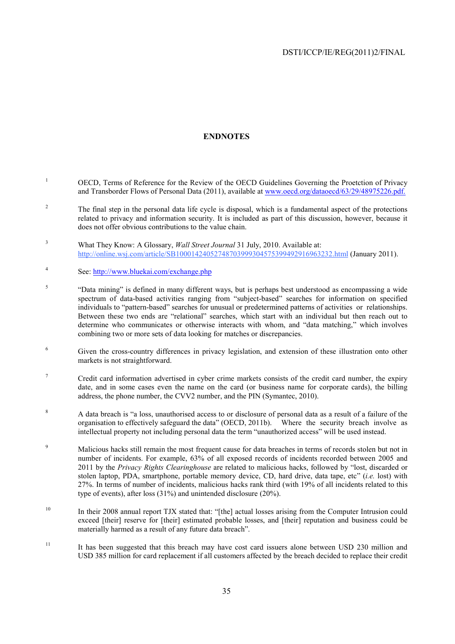# **ENDNOTES**

- 1 OECD, Terms of Reference for the Review of the OECD Guidelines Governing the Proetction of Privacy and Transborder Flows of Personal Data (2011), available at www.oecd.org/dataoecd/63/29/48975226.pdf.
- 2 The final step in the personal data life cycle is disposal, which is a fundamental aspect of the protections related to privacy and information security. It is included as part of this discussion, however, because it does not offer obvious contributions to the value chain.
- 3 What They Know: A Glossary, *Wall Street Journal* 31 July, 2010. Available at: http://online.wsj.com/article/SB10001424052748703999304575399492916963232.html (January 2011).
- 4 See: http://www.bluekai.com/exchange.php
- 5 "Data mining" is defined in many different ways, but is perhaps best understood as encompassing a wide spectrum of data-based activities ranging from "subject-based" searches for information on specified individuals to "pattern-based" searches for unusual or predetermined patterns of activities or relationships. Between these two ends are "relational" searches, which start with an individual but then reach out to determine who communicates or otherwise interacts with whom, and "data matching," which involves combining two or more sets of data looking for matches or discrepancies.
- 6 Given the cross-country differences in privacy legislation, and extension of these illustration onto other markets is not straightforward.
- 7 Credit card information advertised in cyber crime markets consists of the credit card number, the expiry date, and in some cases even the name on the card (or business name for corporate cards), the billing address, the phone number, the CVV2 number, and the PIN (Symantec, 2010).
- <sup>8</sup> A data breach is "a loss, unauthorised access to or disclosure of personal data as a result of a failure of the organisation to effectively safeguard the data" (OECD, 2011b). Where the security breach involve as intellectual property not including personal data the term "unauthorized access" will be used instead.
- $\overline{9}$  Malicious hacks still remain the most frequent cause for data breaches in terms of records stolen but not in number of incidents. For example, 63% of all exposed records of incidents recorded between 2005 and 2011 by the *Privacy Rights Clearinghouse* are related to malicious hacks, followed by "lost, discarded or stolen laptop, PDA, smartphone, portable memory device, CD, hard drive, data tape, etc" (*i.e.* lost) with 27%. In terms of number of incidents, malicious hacks rank third (with 19% of all incidents related to this type of events), after loss (31%) and unintended disclosure (20%).
- <sup>10</sup> In their 2008 annual report TJX stated that: "[the] actual losses arising from the Computer Intrusion could exceed [their] reserve for [their] estimated probable losses, and [their] reputation and business could be materially harmed as a result of any future data breach".
- <sup>11</sup> It has been suggested that this breach may have cost card issuers alone between USD 230 million and USD 385 million for card replacement if all customers affected by the breach decided to replace their credit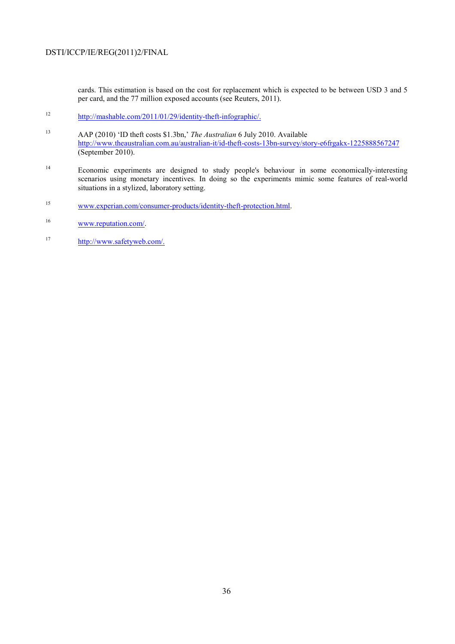cards. This estimation is based on the cost for replacement which is expected to be between USD 3 and 5 per card, and the 77 million exposed accounts (see Reuters, 2011).

- 12 http://mashable.com/2011/01/29/identity-theft-infographic/.
- 13 AAP (2010) 'ID theft costs \$1.3bn,' *The Australian* 6 July 2010. Available http://www.theaustralian.com.au/australian-it/id-theft-costs-13bn-survey/story-e6frgakx-1225888567247 (September 2010).
- <sup>14</sup> Economic experiments are designed to study people's behaviour in some economically-interesting scenarios using monetary incentives. In doing so the experiments mimic some features of real-world situations in a stylized, laboratory setting.
- 15 www.experian.com/consumer-products/identity-theft-protection.html.
- 16 www.reputation.com/.
- 17 http://www.safetyweb.com/.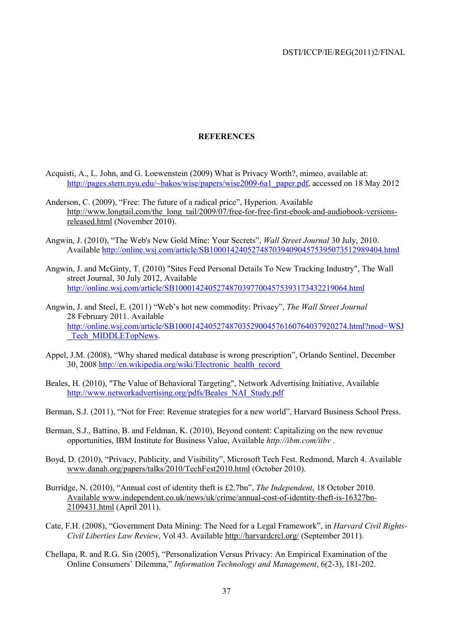# **REFERENCES**

- Acquisti, A., L. John, and G. Loewenstein (2009) What is Privacy Worth?, mimeo, available at: http://pages.stern.nyu.edu/~bakos/wise/papers/wise2009-6a1\_paper.pdf, accessed on 18 May 2012
- Anderson, C. (2009), "Free: The future of a radical price", Hyperion. Available http://www.longtail.com/the\_long\_tail/2009/07/free-for-free-first-ebook-and-audiobook-versionsreleased.html (November 2010).
- Angwin, J. (2010), "The Web's New Gold Mine: Your Secrets", *Wall Street Journal* 30 July, 2010. Available http://online.wsj.com/article/SB10001424052748703940904575395073512989404.html
- Angwin, J. and McGinty, T. (2010) "Sites Feed Personal Details To New Tracking Industry", The Wall street Journal, 30 July 2012, Available http://online.wsj.com/article/SB10001424052748703977004575393173432219064.html
- Angwin, J. and Steel, E. (2011) "Web's hot new commodity: Privacy", *The Wall Street Journal* 28 February 2011. Available http://online.wsj.com/article/SB10001424052748703529004576160764037920274.html?mod=WSJ Tech MIDDLETopNews.
- Appel, J.M. (2008), "Why shared medical database is wrong prescription", Orlando Sentinel, December 30, 2008 http://en.wikipedia.org/wiki/Electronic\_health\_record
- Beales, H. (2010), "The Value of Behavioral Targeting", Network Advertising Initiative, Available http://www.networkadvertising.org/pdfs/Beales\_NAI\_Study.pdf
- Berman, S.J. (2011), "Not for Free: Revenue strategies for a new world", Harvard Business School Press.
- Berman, S.J., Battino, B. and Feldman, K. (2010), Beyond content: Capitalizing on the new revenue opportunities, IBM Institute for Business Value, Available *http://ibm.com/iibv* .
- Boyd, D. (2010), "Privacy, Publicity, and Visibility", Microsoft Tech Fest. Redmond, March 4. Available www.danah.org/papers/talks/2010/TechFest2010.html (October 2010).
- Burridge, N. (2010), "Annual cost of identity theft is £2.7bn", *The Independent*, 18 October 2010. Available www.independent.co.uk/news/uk/crime/annual-cost-of-identity-theft-is-16327bn-2109431.html (April 2011).
- Cate, F.H. (2008), "Government Data Mining: The Need for a Legal Framework", in *Harvard Civil Rights-Civil Liberties Law Review*, Vol 43. Available http://harvardcrcl.org/ (September 2011).
- Chellapa, R. and R.G. Sin (2005), "Personalization Versus Privacy: An Empirical Examination of the Online Consumers' Dilemma," *Information Technology and Management*, 6(2-3), 181-202.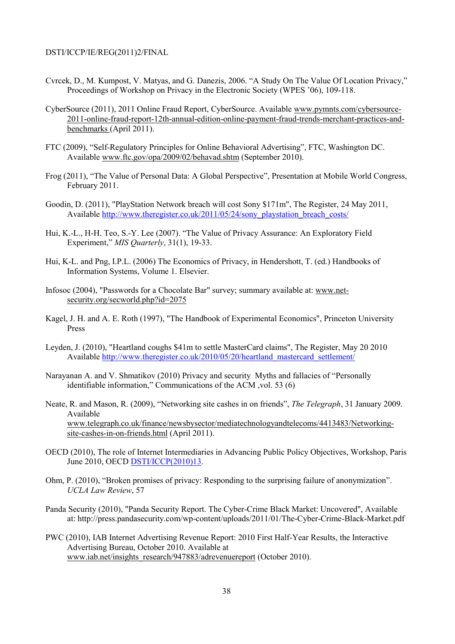- Cvrcek, D., M. Kumpost, V. Matyas, and G. Danezis, 2006. "A Study On The Value Of Location Privacy," Proceedings of Workshop on Privacy in the Electronic Society (WPES '06), 109-118.
- CyberSource (2011), 2011 Online Fraud Report, CyberSource. Available www.pymnts.com/cybersource-2011-online-fraud-report-12th-annual-edition-online-payment-fraud-trends-merchant-practices-andbenchmarks (April 2011).
- FTC (2009), "Self-Regulatory Principles for Online Behavioral Advertising", FTC, Washington DC. Available www.ftc.gov/opa/2009/02/behavad.shtm (September 2010).
- Frog (2011), "The Value of Personal Data: A Global Perspective", Presentation at Mobile World Congress, February 2011.
- Goodin, D. (2011), "PlayStation Network breach will cost Sony \$171m", The Register, 24 May 2011, Available http://www.theregister.co.uk/2011/05/24/sony\_playstation\_breach\_costs/
- Hui, K.-L., H-H. Teo, S.-Y. Lee (2007). "The Value of Privacy Assurance: An Exploratory Field Experiment," *MIS Quarterly*, 31(1), 19-33.
- Hui, K-L. and Png, I.P.L. (2006) The Economics of Privacy, in Hendershott, T. (ed.) Handbooks of Information Systems, Volume 1. Elsevier.
- Infosoc (2004), "Passwords for a Chocolate Bar" survey; summary available at: www.netsecurity.org/secworld.php?id=2075
- Kagel, J. H. and A. E. Roth (1997), "The Handbook of Experimental Economics", Princeton University Press
- Leyden, J. (2010), "Heartland coughs \$41m to settle MasterCard claims", The Register, May 20 2010 Available http://www.theregister.co.uk/2010/05/20/heartland\_mastercard\_settlement/
- Narayanan A. and V. Shmatikov (2010) Privacy and security Myths and fallacies of "Personally identifiable information," Communications of the ACM ,vol. 53 (6)
- Neate, R. and Mason, R. (2009), "Networking site cashes in on friends", *The Telegraph*, 31 January 2009. Available www.telegraph.co.uk/finance/newsbysector/mediatechnologyandtelecoms/4413483/Networkingsite-cashes-in-on-friends.html (April 2011).
- OECD (2010), The role of Internet Intermediaries in Advancing Public Policy Objectives, Workshop, Paris June 2010, OECD DSTI/ICCP(2010)13.
- Ohm, P. (2010), "Broken promises of privacy: Responding to the surprising failure of anonymization". *UCLA Law Review*, 57
- Panda Security (2010), "Panda Security Report. The Cyber-Crime Black Market: Uncovered", Available at: http://press.pandasecurity.com/wp-content/uploads/2011/01/The-Cyber-Crime-Black-Market.pdf
- PWC (2010), IAB Internet Advertising Revenue Report: 2010 First Half-Year Results, the Interactive Advertising Bureau, October 2010. Available at www.iab.net/insights\_research/947883/adrevenuereport (October 2010).